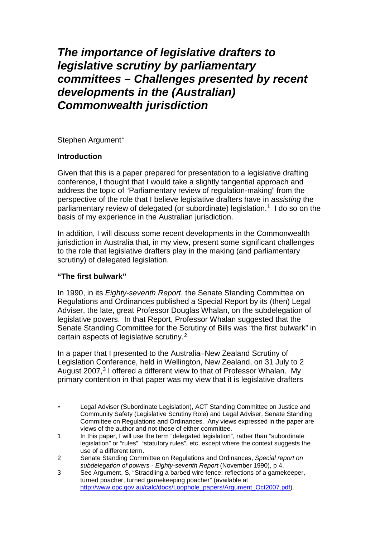# *The importance of legislative drafters to legislative scrutiny by parliamentary committees – Challenges presented by recent developments in the (Australian) Commonwealth jurisdiction*

Stephen Argument[∗](#page-0-0)

# **Introduction**

Given that this is a paper prepared for presentation to a legislative drafting conference, I thought that I would take a slightly tangential approach and address the topic of "Parliamentary review of regulation-making" from the perspective of the role that I believe legislative drafters have in *assisting* the parliamentary review of delegated (or subordinate) legislation.<sup>[1](#page-0-1)</sup> I do so on the basis of my experience in the Australian jurisdiction.

In addition, I will discuss some recent developments in the Commonwealth jurisdiction in Australia that, in my view, present some significant challenges to the role that legislative drafters play in the making (and parliamentary scrutiny) of delegated legislation.

# **"The first bulwark"**

-

In 1990, in its *Eighty-seventh Report*, the Senate Standing Committee on Regulations and Ordinances published a Special Report by its (then) Legal Adviser, the late, great Professor Douglas Whalan, on the subdelegation of legislative powers. In that Report, Professor Whalan suggested that the Senate Standing Committee for the Scrutiny of Bills was "the first bulwark" in certain aspects of legislative scrutiny.[2](#page-0-2)

In a paper that I presented to the Australia–New Zealand Scrutiny of Legislation Conference, held in Wellington, New Zealand, on 31 July to 2 August 2007, [3](#page-0-3) I offered a different view to that of Professor Whalan. My primary contention in that paper was my view that it is legislative drafters

<span id="page-0-0"></span><sup>∗</sup> Legal Adviser (Subordinate Legislation), ACT Standing Committee on Justice and Community Safety (Legislative Scrutiny Role) and Legal Adviser, Senate Standing Committee on Regulations and Ordinances. Any views expressed in the paper are views of the author and not those of either committee.

<span id="page-0-1"></span><sup>1</sup> In this paper, I will use the term "delegated legislation", rather than "subordinate legislation" or "rules", "statutory rules", etc, except where the context suggests the use of a different term.

<span id="page-0-2"></span><sup>2</sup> Senate Standing Committee on Regulations and Ordinances, *Special report on subdelegation of powers - Eighty-seventh Report* (November 1990), p 4.

<span id="page-0-3"></span><sup>3</sup> See Argument, S, "Straddling a barbed wire fence: reflections of a gamekeeper, turned poacher, turned gamekeeping poacher" (available at [http://www.opc.gov.au/calc/docs/Loophole\\_papers/Argument\\_Oct2007.pdf\)](http://www.opc.gov.au/calc/docs/Loophole_papers/Argument_Oct2007.pdf).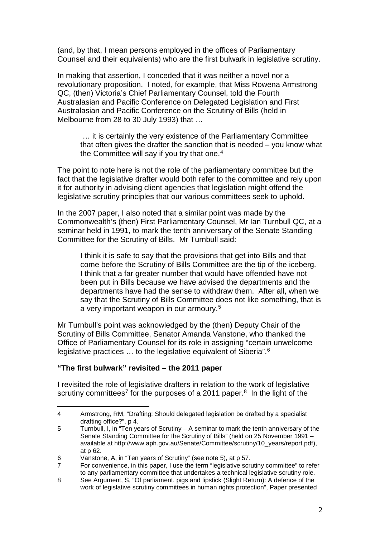(and, by that, I mean persons employed in the offices of Parliamentary Counsel and their equivalents) who are the first bulwark in legislative scrutiny.

In making that assertion, I conceded that it was neither a novel nor a revolutionary proposition. I noted, for example, that Miss Rowena Armstrong QC, (then) Victoria's Chief Parliamentary Counsel, told the Fourth Australasian and Pacific Conference on Delegated Legislation and First Australasian and Pacific Conference on the Scrutiny of Bills (held in Melbourne from 28 to 30 July 1993) that …

… it is certainly the very existence of the Parliamentary Committee that often gives the drafter the sanction that is needed – you know what the Committee will say if you try that one. $4$ 

The point to note here is not the role of the parliamentary committee but the fact that the legislative drafter would both refer to the committee and rely upon it for authority in advising client agencies that legislation might offend the legislative scrutiny principles that our various committees seek to uphold.

In the 2007 paper, I also noted that a similar point was made by the Commonwealth's (then) First Parliamentary Counsel, Mr Ian Turnbull QC, at a seminar held in 1991, to mark the tenth anniversary of the Senate Standing Committee for the Scrutiny of Bills. Mr Turnbull said:

I think it is safe to say that the provisions that get into Bills and that come before the Scrutiny of Bills Committee are the tip of the iceberg. I think that a far greater number that would have offended have not been put in Bills because we have advised the departments and the departments have had the sense to withdraw them. After all, when we say that the Scrutiny of Bills Committee does not like something, that is a very important weapon in our armoury.[5](#page-1-1)

Mr Turnbull's point was acknowledged by the (then) Deputy Chair of the Scrutiny of Bills Committee, Senator Amanda Vanstone, who thanked the Office of Parliamentary Counsel for its role in assigning "certain unwelcome legislative practices ... to the legislative equivalent of Siberia".<sup>[6](#page-1-2)</sup>

# **"The first bulwark" revisited – the 2011 paper**

<u>.</u>

I revisited the role of legislative drafters in relation to the work of legislative scrutiny committees<sup>[7](#page-1-3)</sup> for the purposes of a 2011 paper. $8$  In the light of the

<span id="page-1-0"></span><sup>4</sup> Armstrong, RM, "Drafting: Should delegated legislation be drafted by a specialist drafting office?", p 4.

<span id="page-1-1"></span><sup>5</sup> Turnbull, I, in "Ten years of Scrutiny – A seminar to mark the tenth anniversary of the Senate Standing Committee for the Scrutiny of Bills" (held on 25 November 1991 – available at http://www.aph.gov.au/Senate/Committee/scrutiny/10\_years/report.pdf), at p 62.

<span id="page-1-2"></span><sup>6</sup> Vanstone, A, in "Ten years of Scrutiny" (see note 5), at p 57.

<span id="page-1-3"></span><sup>7</sup> For convenience, in this paper, I use the term "legislative scrutiny committee" to refer to any parliamentary committee that undertakes a technical legislative scrutiny role.

<span id="page-1-4"></span><sup>8</sup> See Argument, S, "Of parliament, pigs and lipstick (Slight Return): A defence of the work of legislative scrutiny committees in human rights protection", Paper presented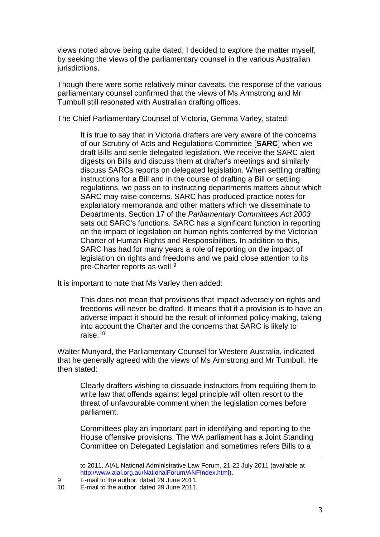views noted above being quite dated, I decided to explore the matter myself, by seeking the views of the parliamentary counsel in the various Australian jurisdictions.

Though there were some relatively minor caveats, the response of the various parliamentary counsel confirmed that the views of Ms Armstrong and Mr Turnbull still resonated with Australian drafting offices.

The Chief Parliamentary Counsel of Victoria, Gemma Varley, stated:

It is true to say that in Victoria drafters are very aware of the concerns of our Scrutiny of Acts and Regulations Committee [**SARC**] when we draft Bills and settle delegated legislation. We receive the SARC alert digests on Bills and discuss them at drafter's meetings and similarly discuss SARCs reports on delegated legislation. When settling drafting instructions for a Bill and in the course of drafting a Bill or settling regulations, we pass on to instructing departments matters about which SARC may raise concerns. SARC has produced practice notes for explanatory memoranda and other matters which we disseminate to Departments. Section 17 of the *Parliamentary Committees Act 2003* sets out SARC's functions. SARC has a significant function in reporting on the impact of legislation on human rights conferred by the Victorian Charter of Human Rights and Responsibilities. In addition to this, SARC has had for many years a role of reporting on the impact of legislation on rights and freedoms and we paid close attention to its pre-Charter reports as well.<sup>[9](#page-2-0)</sup>

It is important to note that Ms Varley then added:

This does not mean that provisions that impact adversely on rights and freedoms will never be drafted. It means that if a provision is to have an adverse impact it should be the result of informed policy-making, taking into account the Charter and the concerns that SARC is likely to raise.[10](#page-2-1)

Walter Munyard, the Parliamentary Counsel for Western Australia, indicated that he generally agreed with the views of Ms Armstrong and Mr Turnbull. He then stated:

Clearly drafters wishing to dissuade instructors from requiring them to write law that offends against legal principle will often resort to the threat of unfavourable comment when the legislation comes before parliament.

Committees play an important part in identifying and reporting to the House offensive provisions. The WA parliament has a Joint Standing Committee on Delegated Legislation and sometimes refers Bills to a

<u>.</u>

to 2011, AIAL National Administrative Law Forum, 21-22 July 2011 (available at [http://www.aial.org.au/NationalForum/ANFIndex.html\)](http://www.aial.org.au/NationalForum/ANFIndex.html).

<span id="page-2-1"></span><span id="page-2-0"></span><sup>9</sup> E-mail to the author, dated 29 June 2011.<br>10 E-mail to the author dated 29 June 2011

E-mail to the author, dated 29 June 2011.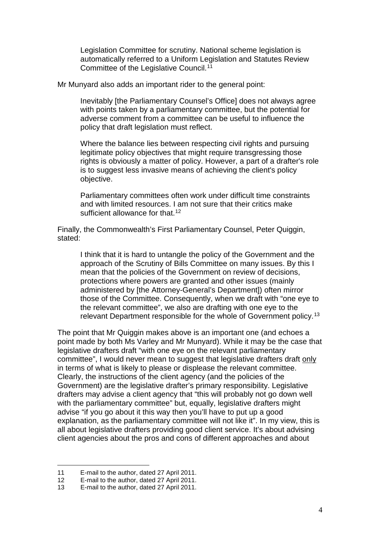Legislation Committee for scrutiny. National scheme legislation is automatically referred to a Uniform Legislation and Statutes Review Committee of the Legislative Council.[11](#page-3-0)

Mr Munyard also adds an important rider to the general point:

Inevitably [the Parliamentary Counsel's Office] does not always agree with points taken by a parliamentary committee, but the potential for adverse comment from a committee can be useful to influence the policy that draft legislation must reflect.

Where the balance lies between respecting civil rights and pursuing legitimate policy objectives that might require transgressing those rights is obviously a matter of policy. However, a part of a drafter's role is to suggest less invasive means of achieving the client's policy objective.

Parliamentary committees often work under difficult time constraints and with limited resources. I am not sure that their critics make sufficient allowance for that.<sup>[12](#page-3-1)</sup>

Finally, the Commonwealth's First Parliamentary Counsel, Peter Quiggin, stated:

I think that it is hard to untangle the policy of the Government and the approach of the Scrutiny of Bills Committee on many issues. By this I mean that the policies of the Government on review of decisions, protections where powers are granted and other issues (mainly administered by [the Attorney-General's Department]) often mirror those of the Committee. Consequently, when we draft with "one eye to the relevant committee", we also are drafting with one eye to the relevant Department responsible for the whole of Government policy.[13](#page-3-2)

The point that Mr Quiggin makes above is an important one (and echoes a point made by both Ms Varley and Mr Munyard). While it may be the case that legislative drafters draft "with one eye on the relevant parliamentary committee", I would never mean to suggest that legislative drafters draft only in terms of what is likely to please or displease the relevant committee. Clearly, the instructions of the client agency (and the policies of the Government) are the legislative drafter's primary responsibility. Legislative drafters may advise a client agency that "this will probably not go down well with the parliamentary committee" but, equally, legislative drafters might advise "if you go about it this way then you'll have to put up a good explanation, as the parliamentary committee will not like it". In my view, this is all about legislative drafters providing good client service. It's about advising client agencies about the pros and cons of different approaches and about

-

<span id="page-3-0"></span><sup>11</sup> E-mail to the author, dated 27 April 2011.

<span id="page-3-1"></span><sup>12</sup> E-mail to the author, dated 27 April 2011.

<span id="page-3-2"></span><sup>13</sup> E-mail to the author, dated 27 April 2011.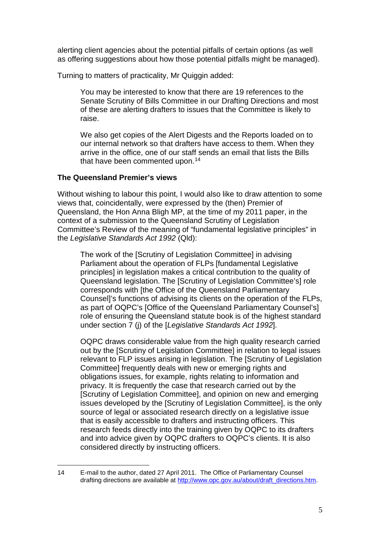alerting client agencies about the potential pitfalls of certain options (as well as offering suggestions about how those potential pitfalls might be managed).

Turning to matters of practicality, Mr Quiggin added:

You may be interested to know that there are 19 references to the Senate Scrutiny of Bills Committee in our Drafting Directions and most of these are alerting drafters to issues that the Committee is likely to raise.

We also get copies of the Alert Digests and the Reports loaded on to our internal network so that drafters have access to them. When they arrive in the office, one of our staff sends an email that lists the Bills that have been commented upon.<sup>[14](#page-4-0)</sup>

# **The Queensland Premier's views**

Without wishing to labour this point, I would also like to draw attention to some views that, coincidentally, were expressed by the (then) Premier of Queensland, the Hon Anna Bligh MP, at the time of my 2011 paper, in the context of a submission to the Queensland Scrutiny of Legislation Committee's Review of the meaning of "fundamental legislative principles" in the *Legislative Standards Act 1992* (Qld):

The work of the [Scrutiny of Legislation Committee] in advising Parliament about the operation of FLPs [fundamental Legislative principles] in legislation makes a critical contribution to the quality of Queensland legislation. The [Scrutiny of Legislation Committee's] role corresponds with [the Office of the Queensland Parliamentary Counsel]'s functions of advising its clients on the operation of the FLPs, as part of OQPC's [Office of the Queensland Parliamentary Counsel's] role of ensuring the Queensland statute book is of the highest standard under section 7 (j) of the [*Legislative Standards Act 1992*].

OQPC draws considerable value from the high quality research carried out by the [Scrutiny of Legislation Committee] in relation to legal issues relevant to FLP issues arising in legislation. The [Scrutiny of Legislation Committee] frequently deals with new or emerging rights and obligations issues, for example, rights relating to information and privacy. It is frequently the case that research carried out by the [Scrutiny of Legislation Committee], and opinion on new and emerging issues developed by the [Scrutiny of Legislation Committee], is the only source of legal or associated research directly on a legislative issue that is easily accessible to drafters and instructing officers. This research feeds directly into the training given by OQPC to its drafters and into advice given by OQPC drafters to OQPC's clients. It is also considered directly by instructing officers.

<span id="page-4-0"></span><sup>14</sup> E-mail to the author, dated 27 April 2011. The Office of Parliamentary Counsel drafting directions are available at [http://www.opc.gov.au/about/draft\\_directions.htm.](http://www.opc.gov.au/about/draft_directions.htm) -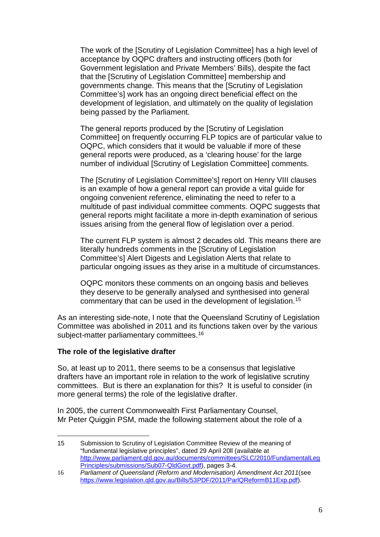The work of the [Scrutiny of Legislation Committee] has a high level of acceptance by OQPC drafters and instructing officers (both for Government legislation and Private Members' Bills), despite the fact that the [Scrutiny of Legislation Committee] membership and governments change. This means that the [Scrutiny of Legislation Committee's] work has an ongoing direct beneficial effect on the development of legislation, and ultimately on the quality of legislation being passed by the Parliament.

The general reports produced by the [Scrutiny of Legislation Committee] on frequently occurring FLP topics are of particular value to OQPC, which considers that it would be valuable if more of these general reports were produced, as a 'clearing house' for the large number of individual [Scrutiny of Legislation Committee] comments.

The [Scrutiny of Legislation Committee's] report on Henry VIII clauses is an example of how a general report can provide a vital guide for ongoing convenient reference, eliminating the need to refer to a multitude of past individual committee comments. OQPC suggests that general reports might facilitate a more in-depth examination of serious issues arising from the general flow of legislation over a period.

The current FLP system is almost 2 decades old. This means there are literally hundreds comments in the [Scrutiny of Legislation Committee's] Alert Digests and Legislation Alerts that relate to particular ongoing issues as they arise in a multitude of circumstances.

OQPC monitors these comments on an ongoing basis and believes they deserve to be generally analysed and synthesised into general commentary that can be used in the development of legislation.[15](#page-5-0)

As an interesting side-note, I note that the Queensland Scrutiny of Legislation Committee was abolished in 2011 and its functions taken over by the various subject-matter parliamentary committees.<sup>[16](#page-5-1)</sup>

# **The role of the legislative drafter**

<u>.</u>

So, at least up to 2011, there seems to be a consensus that legislative drafters have an important role in relation to the work of legislative scrutiny committees. But is there an explanation for this? It is useful to consider (in more general terms) the role of the legislative drafter.

In 2005, the current Commonwealth First Parliamentary Counsel, Mr Peter Quiggin PSM, made the following statement about the role of a

<span id="page-5-0"></span><sup>15</sup> Submission to Scrutiny of Legislation Committee Review of the meaning of "fundamental legislative principles", dated 29 April 20ll (available at [http://www.parliament.qld.gov.au/documents/committees/SLC/2010/FundamentalLeg](http://www.parliament.qld.gov.au/documents/committees/SLC/2010/FundamentalLegPrinciples/submissions/Sub07-QldGovt.pdf) [Principles/submissions/Sub07-QldGovt.pdf\)](http://www.parliament.qld.gov.au/documents/committees/SLC/2010/FundamentalLegPrinciples/submissions/Sub07-QldGovt.pdf), pages 3-4.

<span id="page-5-1"></span><sup>16</sup> *Parliament of Queensland (Reform and Modernisation) Amendment Act 2011*(see [https://www.legislation.qld.gov.au/Bills/53PDF/2011/ParlQReformB11Exp.pdf\)](https://www.legislation.qld.gov.au/Bills/53PDF/2011/ParlQReformB11Exp.pdf).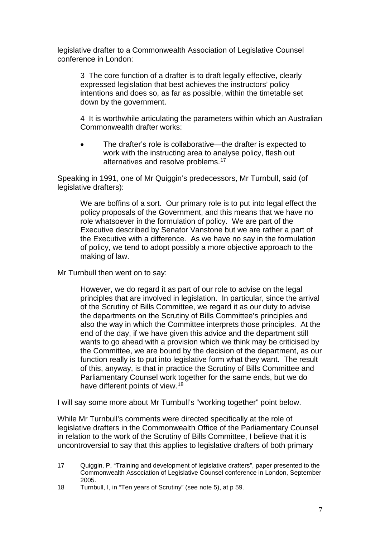legislative drafter to a Commonwealth Association of Legislative Counsel conference in London:

3 The core function of a drafter is to draft legally effective, clearly expressed legislation that best achieves the instructors' policy intentions and does so, as far as possible, within the timetable set down by the government.

4 It is worthwhile articulating the parameters within which an Australian Commonwealth drafter works:

The drafter's role is collaborative—the drafter is expected to work with the instructing area to analyse policy, flesh out alternatives and resolve problems.<sup>[17](#page-6-0)</sup>

Speaking in 1991, one of Mr Quiggin's predecessors, Mr Turnbull, said (of legislative drafters):

We are boffins of a sort. Our primary role is to put into legal effect the policy proposals of the Government, and this means that we have no role whatsoever in the formulation of policy. We are part of the Executive described by Senator Vanstone but we are rather a part of the Executive with a difference. As we have no say in the formulation of policy, we tend to adopt possibly a more objective approach to the making of law.

Mr Turnbull then went on to say:

However, we do regard it as part of our role to advise on the legal principles that are involved in legislation. In particular, since the arrival of the Scrutiny of Bills Committee, we regard it as our duty to advise the departments on the Scrutiny of Bills Committee's principles and also the way in which the Committee interprets those principles. At the end of the day, if we have given this advice and the department still wants to go ahead with a provision which we think may be criticised by the Committee, we are bound by the decision of the department, as our function really is to put into legislative form what they want. The result of this, anyway, is that in practice the Scrutiny of Bills Committee and Parliamentary Counsel work together for the same ends, but we do have different points of view.<sup>[18](#page-6-1)</sup>

I will say some more about Mr Turnbull's "working together" point below.

While Mr Turnbull's comments were directed specifically at the role of legislative drafters in the Commonwealth Office of the Parliamentary Counsel in relation to the work of the Scrutiny of Bills Committee, I believe that it is uncontroversial to say that this applies to legislative drafters of both primary

<span id="page-6-0"></span><sup>17</sup> Quiggin, P, "Training and development of legislative drafters", paper presented to the Commonwealth Association of Legislative Counsel conference in London, September 2005. <u>.</u>

<span id="page-6-1"></span><sup>18</sup> Turnbull, I, in "Ten years of Scrutiny" (see note 5), at p 59.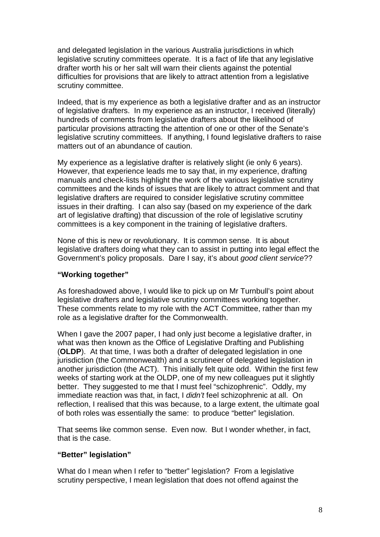and delegated legislation in the various Australia jurisdictions in which legislative scrutiny committees operate. It is a fact of life that any legislative drafter worth his or her salt will warn their clients against the potential difficulties for provisions that are likely to attract attention from a legislative scrutiny committee.

Indeed, that is my experience as both a legislative drafter and as an instructor of legislative drafters. In my experience as an instructor, I received (literally) hundreds of comments from legislative drafters about the likelihood of particular provisions attracting the attention of one or other of the Senate's legislative scrutiny committees. If anything, I found legislative drafters to raise matters out of an abundance of caution.

My experience as a legislative drafter is relatively slight (ie only 6 years). However, that experience leads me to say that, in my experience, drafting manuals and check-lists highlight the work of the various legislative scrutiny committees and the kinds of issues that are likely to attract comment and that legislative drafters are required to consider legislative scrutiny committee issues in their drafting. I can also say (based on my experience of the dark art of legislative drafting) that discussion of the role of legislative scrutiny committees is a key component in the training of legislative drafters.

None of this is new or revolutionary. It is common sense. It is about legislative drafters doing what they can to assist in putting into legal effect the Government's policy proposals. Dare I say, it's about *good client service*??

# **"Working together"**

As foreshadowed above, I would like to pick up on Mr Turnbull's point about legislative drafters and legislative scrutiny committees working together. These comments relate to my role with the ACT Committee, rather than my role as a legislative drafter for the Commonwealth.

When I gave the 2007 paper, I had only just become a legislative drafter, in what was then known as the Office of Legislative Drafting and Publishing (**OLDP**). At that time, I was both a drafter of delegated legislation in one jurisdiction (the Commonwealth) and a scrutineer of delegated legislation in another jurisdiction (the ACT). This initially felt quite odd. Within the first few weeks of starting work at the OLDP, one of my new colleagues put it slightly better. They suggested to me that I must feel "schizophrenic". Oddly, my immediate reaction was that, in fact, I *didn't* feel schizophrenic at all. On reflection, I realised that this was because, to a large extent, the ultimate goal of both roles was essentially the same: to produce "better" legislation.

That seems like common sense. Even now. But I wonder whether, in fact, that is the case.

# **"Better" legislation"**

What do I mean when I refer to "better" legislation? From a legislative scrutiny perspective, I mean legislation that does not offend against the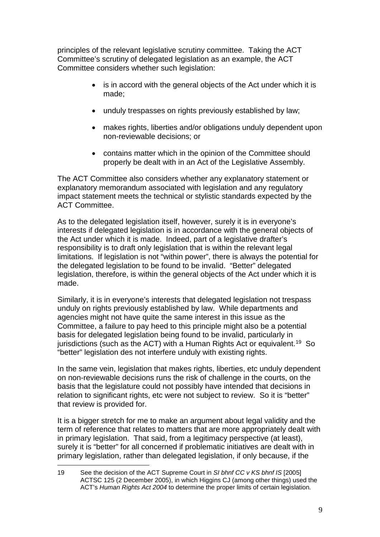principles of the relevant legislative scrutiny committee. Taking the ACT Committee's scrutiny of delegated legislation as an example, the ACT Committee considers whether such legislation:

- is in accord with the general objects of the Act under which it is made;
- unduly trespasses on rights previously established by law;
- makes rights, liberties and/or obligations unduly dependent upon non-reviewable decisions; or
- contains matter which in the opinion of the Committee should properly be dealt with in an Act of the Legislative Assembly.

The ACT Committee also considers whether any explanatory statement or explanatory memorandum associated with legislation and any regulatory impact statement meets the technical or stylistic standards expected by the ACT Committee.

As to the delegated legislation itself, however, surely it is in everyone's interests if delegated legislation is in accordance with the general objects of the Act under which it is made. Indeed, part of a legislative drafter's responsibility is to draft only legislation that is within the relevant legal limitations. If legislation is not "within power", there is always the potential for the delegated legislation to be found to be invalid. "Better" delegated legislation, therefore, is within the general objects of the Act under which it is made.

Similarly, it is in everyone's interests that delegated legislation not trespass unduly on rights previously established by law. While departments and agencies might not have quite the same interest in this issue as the Committee, a failure to pay heed to this principle might also be a potential basis for delegated legislation being found to be invalid, particularly in jurisdictions (such as the ACT) with a Human Rights Act or equivalent. [19](#page-8-0) So "better" legislation des not interfere unduly with existing rights.

In the same vein, legislation that makes rights, liberties, etc unduly dependent on non-reviewable decisions runs the risk of challenge in the courts, on the basis that the legislature could not possibly have intended that decisions in relation to significant rights, etc were not subject to review. So it is "better" that review is provided for.

It is a bigger stretch for me to make an argument about legal validity and the term of reference that relates to matters that are more appropriately dealt with in primary legislation. That said, from a legitimacy perspective (at least), surely it is "better" for all concerned if problematic initiatives are dealt with in primary legislation, rather than delegated legislation, if only because, if the

<span id="page-8-0"></span><sup>19</sup> See the decision of the ACT Supreme Court in *SI bhnf CC v KS bhnf IS* [2005] ACTSC 125 (2 December 2005), in which Higgins CJ (among other things) used the ACT's *Human Rights Act 2004* to determine the proper limits of certain legislation*.* -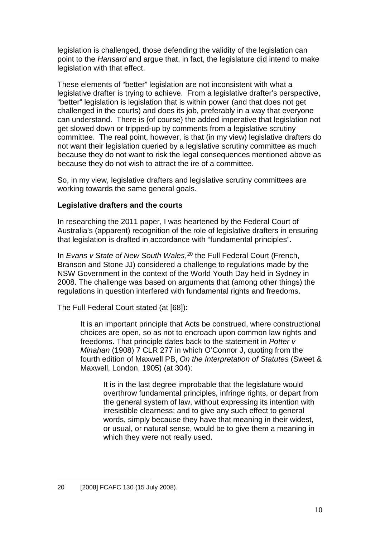legislation is challenged, those defending the validity of the legislation can point to the *Hansard* and argue that, in fact, the legislature did intend to make legislation with that effect.

These elements of "better" legislation are not inconsistent with what a legislative drafter is trying to achieve. From a legislative drafter's perspective, "better" legislation is legislation that is within power (and that does not get challenged in the courts) and does its job, preferably in a way that everyone can understand. There is (of course) the added imperative that legislation not get slowed down or tripped-up by comments from a legislative scrutiny committee. The real point, however, is that (in my view) legislative drafters do not want their legislation queried by a legislative scrutiny committee as much because they do not want to risk the legal consequences mentioned above as because they do not wish to attract the ire of a committee.

So, in my view, legislative drafters and legislative scrutiny committees are working towards the same general goals.

# **Legislative drafters and the courts**

In researching the 2011 paper, I was heartened by the Federal Court of Australia's (apparent) recognition of the role of legislative drafters in ensuring that legislation is drafted in accordance with "fundamental principles".

In *Evans v State of New South Wales*, [20](#page-9-0) the Full Federal Court (French, Branson and Stone JJ) considered a challenge to regulations made by the NSW Government in the context of the World Youth Day held in Sydney in 2008. The challenge was based on arguments that (among other things) the regulations in question interfered with fundamental rights and freedoms.

The Full Federal Court stated (at [68]):

It is an important principle that Acts be construed, where constructional choices are open, so as not to encroach upon common law rights and freedoms. That principle dates back to the statement in *Potter v Minahan* (1908) 7 CLR 277 in which O'Connor J, quoting from the fourth edition of Maxwell PB, *On the Interpretation of Statutes* (Sweet & Maxwell, London, 1905) (at 304):

It is in the last degree improbable that the legislature would overthrow fundamental principles, infringe rights, or depart from the general system of law, without expressing its intention with irresistible clearness; and to give any such effect to general words, simply because they have that meaning in their widest, or usual, or natural sense, would be to give them a meaning in which they were not really used.

<span id="page-9-0"></span><sup>20</sup> [2008] FCAFC 130 (15 July 2008). <u>.</u>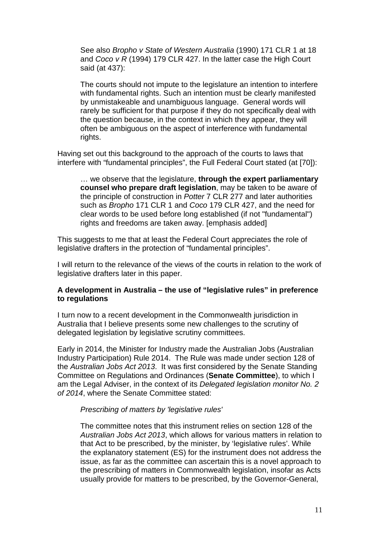See also *Bropho v State of Western Australia* (1990) 171 CLR 1 at 18 and *Coco v R* (1994) 179 CLR 427. In the latter case the High Court said (at 437):

The courts should not impute to the legislature an intention to interfere with fundamental rights. Such an intention must be clearly manifested by unmistakeable and unambiguous language. General words will rarely be sufficient for that purpose if they do not specifically deal with the question because, in the context in which they appear, they will often be ambiguous on the aspect of interference with fundamental rights.

Having set out this background to the approach of the courts to laws that interfere with "fundamental principles", the Full Federal Court stated (at [70]):

… we observe that the legislature, **through the expert parliamentary counsel who prepare draft legislation**, may be taken to be aware of the principle of construction in *Potter* 7 CLR 277 and later authorities such as *Bropho* 171 CLR 1 and *Coco* 179 CLR 427, and the need for clear words to be used before long established (if not "fundamental") rights and freedoms are taken away. [emphasis added]

This suggests to me that at least the Federal Court appreciates the role of legislative drafters in the protection of "fundamental principles".

I will return to the relevance of the views of the courts in relation to the work of legislative drafters later in this paper.

### **A development in Australia – the use of "legislative rules" in preference to regulations**

I turn now to a recent development in the Commonwealth jurisdiction in Australia that I believe presents some new challenges to the scrutiny of delegated legislation by legislative scrutiny committees.

Early in 2014, the Minister for Industry made the Australian Jobs (Australian Industry Participation) Rule 2014. The Rule was made under section 128 of the *Australian Jobs Act 2013*. It was first considered by the Senate Standing Committee on Regulations and Ordinances (**Senate Committee**), to which I am the Legal Adviser, in the context of its *Delegated legislation monitor No. 2 of 2014*, where the Senate Committee stated:

#### *Prescribing of matters by 'legislative rules'*

The committee notes that this instrument relies on section 128 of the *Australian Jobs Act 2013*, which allows for various matters in relation to that Act to be prescribed, by the minister, by 'legislative rules'. While the explanatory statement (ES) for the instrument does not address the issue, as far as the committee can ascertain this is a novel approach to the prescribing of matters in Commonwealth legislation, insofar as Acts usually provide for matters to be prescribed, by the Governor-General,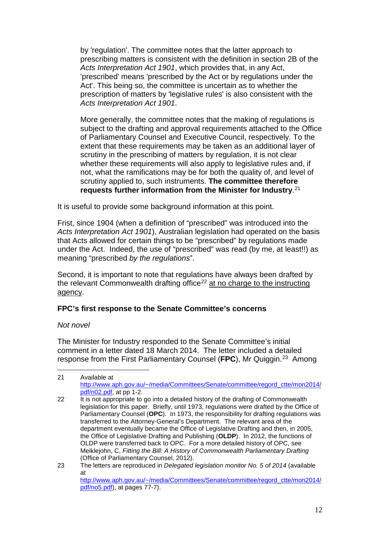by 'regulation'. The committee notes that the latter approach to prescribing matters is consistent with the definition in section 2B of the *Acts Interpretation Act 1901*, which provides that, in any Act, 'prescribed' means 'prescribed by the Act or by regulations under the Act'. This being so, the committee is uncertain as to whether the prescription of matters by 'legislative rules' is also consistent with the *Acts Interpretation Act 1901*.

More generally, the committee notes that the making of regulations is subject to the drafting and approval requirements attached to the Office of Parliamentary Counsel and Executive Council, respectively. To the extent that these requirements may be taken as an additional layer of scrutiny in the prescribing of matters by regulation, it is not clear whether these requirements will also apply to legislative rules and, if not, what the ramifications may be for both the quality of, and level of scrutiny applied to, such instruments. **The committee therefore requests further information from the Minister for Industry**.[21](#page-11-0)

It is useful to provide some background information at this point.

Frist, since 1904 (when a definition of "prescribed" was introduced into the *Acts Interpretation Act 1901*), Australian legislation had operated on the basis that Acts allowed for certain things to be "prescribed" by regulations made under the Act. Indeed, the use of "prescribed" was read (by me, at least!!) as meaning "prescribed *by the regulations*".

Second, it is important to note that regulations have always been drafted by the relevant Commonwealth drafting office<sup>[22](#page-11-1)</sup> at no charge to the instructing agency.

# **FPC's first response to the Senate Committee's concerns**

# *Not novel*

<u>.</u>

The Minister for Industry responded to the Senate Committee's initial comment in a letter dated 18 March 2014. The letter included a detailed response from the First Parliamentary Counsel (**FPC**), Mr Quiggin.[23](#page-11-2) Among

<span id="page-11-1"></span><span id="page-11-0"></span><sup>21</sup> Available at [http://www.aph.gov.au/~/media/Committees/Senate/committee/regord\\_ctte/mon2014/](http://www.aph.gov.au/%7E/media/Committees/Senate/committee/regord_ctte/mon2014/pdf/n02.pdf) [pdf/n02.pdf,](http://www.aph.gov.au/%7E/media/Committees/Senate/committee/regord_ctte/mon2014/pdf/n02.pdf) at pp 1-2. 22 It is not appropriate to go into a detailed history of the drafting of Commonwealth legislation for this paper. Briefly, until 1973, regulations were drafted by the Office of Parliamentary Counsel (**OPC**). In 1973, the responsibility for drafting regulations was transferred to the Attorney-General's Department. The relevant area of the department eventually became the Office of Legislative Drafting and then, in 2005, the Office of Legislative Drafting and Publishing (**OLDP**). In 2012, the functions of OLDP were transferred back to OPC. For a more detailed history of OPC, see Meiklejohn, C, *Fitting the Bill: A History of Commonwealth Parliamentary Drafting* (Office of Parliamentary Counsel, 2012). 23 The letters are reproduced in *Delegated legislation monitor No. 5 of 2014* (available at

<span id="page-11-2"></span>[http://www.aph.gov.au/~/media/Committees/Senate/committee/regord\\_ctte/mon2014/](http://www.aph.gov.au/%7E/media/Committees/Senate/committee/regord_ctte/mon2014/pdf/no5.pdf) [pdf/no5.pdf\)](http://www.aph.gov.au/%7E/media/Committees/Senate/committee/regord_ctte/mon2014/pdf/no5.pdf), at pages 77-7).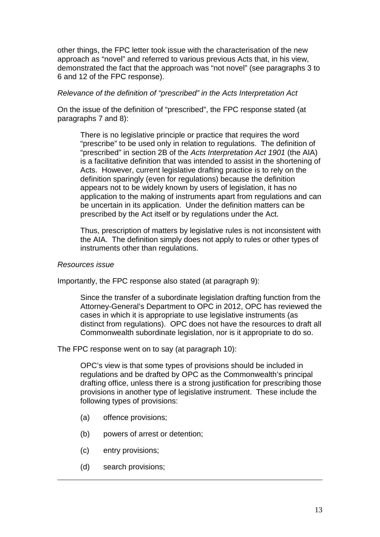other things, the FPC letter took issue with the characterisation of the new approach as "novel" and referred to various previous Acts that, in his view, demonstrated the fact that the approach was "not novel" (see paragraphs 3 to 6 and 12 of the FPC response).

*Relevance of the definition of "prescribed" in the Acts Interpretation Act*

On the issue of the definition of "prescribed", the FPC response stated (at paragraphs 7 and 8):

There is no legislative principle or practice that requires the word "prescribe" to be used only in relation to regulations. The definition of "prescribed" in section 2B of the *Acts Interpretation Act 1901* (the AIA) is a facilitative definition that was intended to assist in the shortening of Acts. However, current legislative drafting practice is to rely on the definition sparingly (even for regulations) because the definition appears not to be widely known by users of legislation, it has no application to the making of instruments apart from regulations and can be uncertain in its application. Under the definition matters can be prescribed by the Act itself or by regulations under the Act.

Thus, prescription of matters by legislative rules is not inconsistent with the AIA. The definition simply does not apply to rules or other types of instruments other than regulations.

#### *Resources issue*

Importantly, the FPC response also stated (at paragraph 9):

Since the transfer of a subordinate legislation drafting function from the Attorney-General's Department to OPC in 2012, OPC has reviewed the cases in which it is appropriate to use legislative instruments (as distinct from regulations). OPC does not have the resources to draft all Commonwealth subordinate legislation, nor is it appropriate to do so.

The FPC response went on to say (at paragraph 10):

OPC's view is that some types of provisions should be included in regulations and be drafted by OPC as the Commonwealth's principal drafting office, unless there is a strong justification for prescribing those provisions in another type of legislative instrument. These include the following types of provisions:

- (a) offence provisions;
- (b) powers of arrest or detention;
- (c) entry provisions;
- (d) search provisions;

<u>.</u>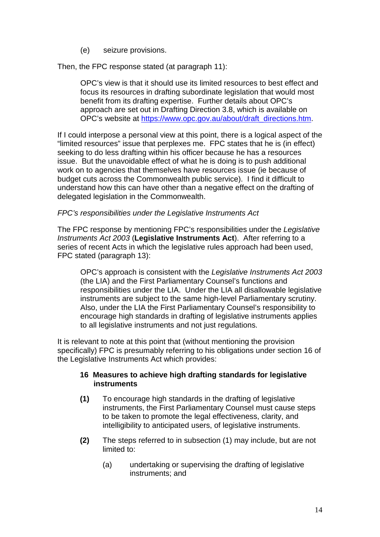(e) seizure provisions.

Then, the FPC response stated (at paragraph 11):

OPC's view is that it should use its limited resources to best effect and focus its resources in drafting subordinate legislation that would most benefit from its drafting expertise. Further details about OPC's approach are set out in Drafting Direction 3.8, which is available on OPC's website at [https://www.opc.gov.au/about/draft\\_directions.htm.](https://www.opc.gov.au/about/draft_directions.htm)

If I could interpose a personal view at this point, there is a logical aspect of the "limited resources" issue that perplexes me. FPC states that he is (in effect) seeking to do less drafting within his officer because he has a resources issue. But the unavoidable effect of what he is doing is to push additional work on to agencies that themselves have resources issue (ie because of budget cuts across the Commonwealth public service). I find it difficult to understand how this can have other than a negative effect on the drafting of delegated legislation in the Commonwealth.

# *FPC's responsibilities under the Legislative Instruments Act*

The FPC response by mentioning FPC's responsibilities under the *Legislative Instruments Act 2003* (**Legislative Instruments Act**). After referring to a series of recent Acts in which the legislative rules approach had been used, FPC stated (paragraph 13):

OPC's approach is consistent with the *Legislative Instruments Act 2003*  (the LIA) and the First Parliamentary Counsel's functions and responsibilities under the LIA. Under the LIA all disallowable legislative instruments are subject to the same high-level Parliamentary scrutiny. Also, under the LIA the First Parliamentary Counsel's responsibility to encourage high standards in drafting of legislative instruments applies to all legislative instruments and not just regulations.

It is relevant to note at this point that (without mentioning the provision specifically) FPC is presumably referring to his obligations under section 16 of the Legislative Instruments Act which provides:

# **16 Measures to achieve high drafting standards for legislative instruments**

- **(1)** To encourage high standards in the drafting of legislative instruments, the First Parliamentary Counsel must cause steps to be taken to promote the legal effectiveness, clarity, and intelligibility to anticipated users, of legislative instruments.
- **(2)** The steps referred to in subsection (1) may include, but are not limited to:
	- (a) undertaking or supervising the drafting of legislative instruments; and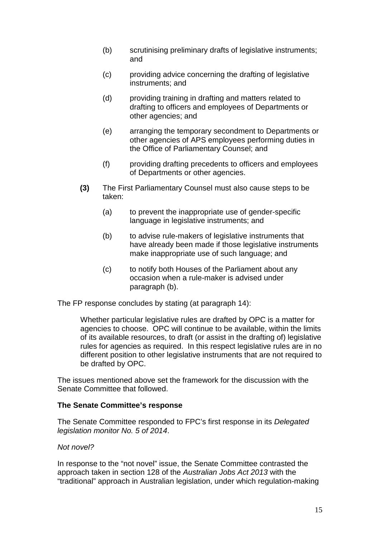- (b) scrutinising preliminary drafts of legislative instruments; and
- (c) providing advice concerning the drafting of legislative instruments; and
- (d) providing training in drafting and matters related to drafting to officers and employees of Departments or other agencies; and
- (e) arranging the temporary secondment to Departments or other agencies of APS employees performing duties in the Office of Parliamentary Counsel; and
- (f) providing drafting precedents to officers and employees of Departments or other agencies.
- **(3)** The First Parliamentary Counsel must also cause steps to be taken:
	- (a) to prevent the inappropriate use of gender-specific language in legislative instruments; and
	- (b) to advise rule-makers of legislative instruments that have already been made if those legislative instruments make inappropriate use of such language; and
	- (c) to notify both Houses of the Parliament about any occasion when a rule-maker is advised under paragraph (b).

The FP response concludes by stating (at paragraph 14):

Whether particular legislative rules are drafted by OPC is a matter for agencies to choose. OPC will continue to be available, within the limits of its available resources, to draft (or assist in the drafting of) legislative rules for agencies as required. In this respect legislative rules are in no different position to other legislative instruments that are not required to be drafted by OPC.

The issues mentioned above set the framework for the discussion with the Senate Committee that followed.

#### **The Senate Committee's response**

The Senate Committee responded to FPC's first response in its *Delegated legislation monitor No. 5 of 2014*.

#### *Not novel?*

In response to the "not novel" issue, the Senate Committee contrasted the approach taken in section 128 of the *Australian Jobs Act 2013* with the "traditional" approach in Australian legislation, under which regulation-making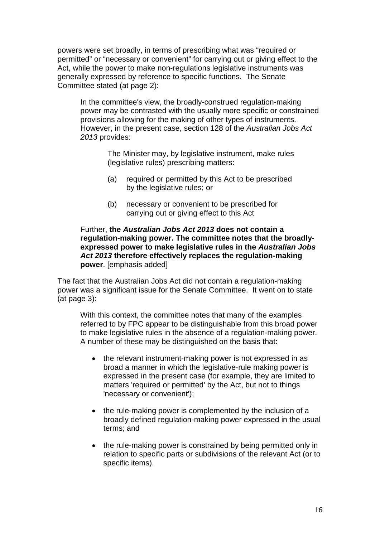powers were set broadly, in terms of prescribing what was "required or permitted" or "necessary or convenient" for carrying out or giving effect to the Act, while the power to make non-regulations legislative instruments was generally expressed by reference to specific functions. The Senate Committee stated (at page 2):

In the committee's view, the broadly-construed regulation-making power may be contrasted with the usually more specific or constrained provisions allowing for the making of other types of instruments. However, in the present case, section 128 of the *Australian Jobs Act 2013* provides:

> The Minister may, by legislative instrument, make rules (legislative rules) prescribing matters:

- (a) required or permitted by this Act to be prescribed by the legislative rules; or
- (b) necessary or convenient to be prescribed for carrying out or giving effect to this Act

# Further, **the** *Australian Jobs Act 2013* **does not contain a regulation-making power. The committee notes that the broadlyexpressed power to make legislative rules in the** *Australian Jobs Act 2013* **therefore effectively replaces the regulation-making power**. [emphasis added]

The fact that the Australian Jobs Act did not contain a regulation-making power was a significant issue for the Senate Committee. It went on to state (at page 3):

With this context, the committee notes that many of the examples referred to by FPC appear to be distinguishable from this broad power to make legislative rules in the absence of a regulation-making power. A number of these may be distinguished on the basis that:

- the relevant instrument-making power is not expressed in as broad a manner in which the legislative-rule making power is expressed in the present case (for example, they are limited to matters 'required or permitted' by the Act, but not to things 'necessary or convenient');
- the rule-making power is complemented by the inclusion of a broadly defined regulation-making power expressed in the usual terms; and
- the rule-making power is constrained by being permitted only in relation to specific parts or subdivisions of the relevant Act (or to specific items).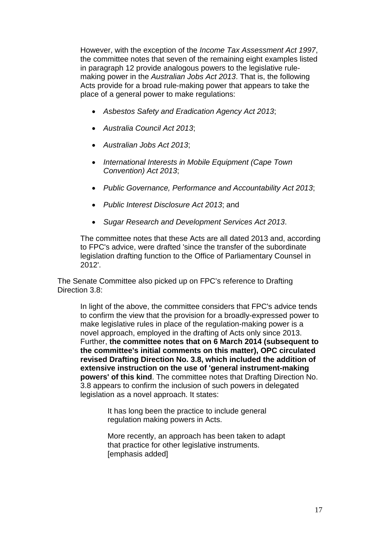However, with the exception of the *Income Tax Assessment Act 1997*, the committee notes that seven of the remaining eight examples listed in paragraph 12 provide analogous powers to the legislative rulemaking power in the *Australian Jobs Act 2013*. That is, the following Acts provide for a broad rule-making power that appears to take the place of a general power to make regulations:

- *Asbestos Safety and Eradication Agency Act 2013*;
- *Australia Council Act 2013*;
- *Australian Jobs Act 2013*;
- *International Interests in Mobile Equipment (Cape Town Convention) Act 2013*;
- *Public Governance, Performance and Accountability Act 2013*;
- *Public Interest Disclosure Act 2013*; and
- *Sugar Research and Development Services Act 2013*.

The committee notes that these Acts are all dated 2013 and, according to FPC's advice, were drafted 'since the transfer of the subordinate legislation drafting function to the Office of Parliamentary Counsel in 2012'.

The Senate Committee also picked up on FPC's reference to Drafting Direction 3.8:

In light of the above, the committee considers that FPC's advice tends to confirm the view that the provision for a broadly-expressed power to make legislative rules in place of the regulation-making power is a novel approach, employed in the drafting of Acts only since 2013. Further, **the committee notes that on 6 March 2014 (subsequent to the committee's initial comments on this matter), OPC circulated revised Drafting Direction No. 3.8, which included the addition of extensive instruction on the use of 'general instrument-making powers' of this kind**. The committee notes that Drafting Direction No. 3.8 appears to confirm the inclusion of such powers in delegated legislation as a novel approach. It states:

> It has long been the practice to include general regulation making powers in Acts.

More recently, an approach has been taken to adapt that practice for other legislative instruments. [emphasis added]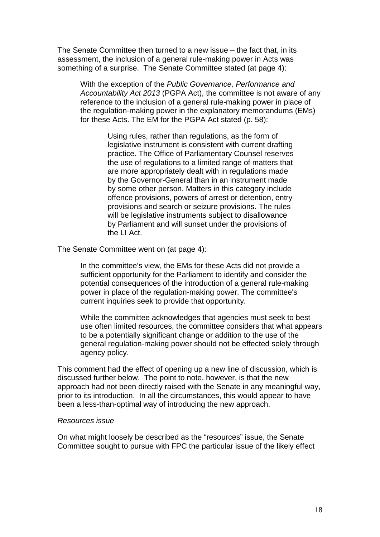The Senate Committee then turned to a new issue – the fact that, in its assessment, the inclusion of a general rule-making power in Acts was something of a surprise. The Senate Committee stated (at page 4):

With the exception of the *Public Governance, Performance and Accountability Act 2013* (PGPA Act), the committee is not aware of any reference to the inclusion of a general rule-making power in place of the regulation-making power in the explanatory memorandums (EMs) for these Acts. The EM for the PGPA Act stated (p. 58):

> Using rules, rather than regulations, as the form of legislative instrument is consistent with current drafting practice. The Office of Parliamentary Counsel reserves the use of regulations to a limited range of matters that are more appropriately dealt with in regulations made by the Governor-General than in an instrument made by some other person. Matters in this category include offence provisions, powers of arrest or detention, entry provisions and search or seizure provisions. The rules will be legislative instruments subject to disallowance by Parliament and will sunset under the provisions of the LI Act.

The Senate Committee went on (at page 4):

In the committee's view, the EMs for these Acts did not provide a sufficient opportunity for the Parliament to identify and consider the potential consequences of the introduction of a general rule-making power in place of the regulation-making power. The committee's current inquiries seek to provide that opportunity.

While the committee acknowledges that agencies must seek to best use often limited resources, the committee considers that what appears to be a potentially significant change or addition to the use of the general regulation-making power should not be effected solely through agency policy.

This comment had the effect of opening up a new line of discussion, which is discussed further below. The point to note, however, is that the new approach had not been directly raised with the Senate in any meaningful way, prior to its introduction. In all the circumstances, this would appear to have been a less-than-optimal way of introducing the new approach.

#### *Resources issue*

On what might loosely be described as the "resources" issue, the Senate Committee sought to pursue with FPC the particular issue of the likely effect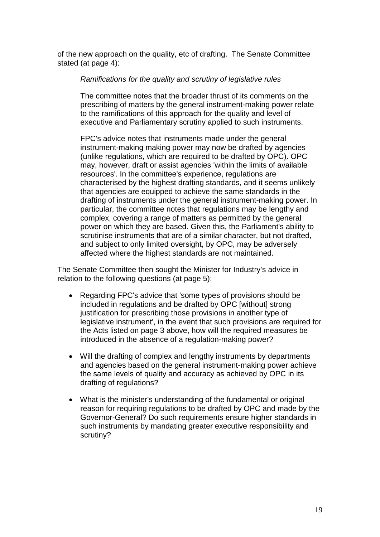of the new approach on the quality, etc of drafting. The Senate Committee stated (at page 4):

#### *Ramifications for the quality and scrutiny of legislative rules*

The committee notes that the broader thrust of its comments on the prescribing of matters by the general instrument-making power relate to the ramifications of this approach for the quality and level of executive and Parliamentary scrutiny applied to such instruments.

FPC's advice notes that instruments made under the general instrument-making making power may now be drafted by agencies (unlike regulations, which are required to be drafted by OPC). OPC may, however, draft or assist agencies 'within the limits of available resources'. In the committee's experience, regulations are characterised by the highest drafting standards, and it seems unlikely that agencies are equipped to achieve the same standards in the drafting of instruments under the general instrument-making power. In particular, the committee notes that regulations may be lengthy and complex, covering a range of matters as permitted by the general power on which they are based. Given this, the Parliament's ability to scrutinise instruments that are of a similar character, but not drafted, and subject to only limited oversight, by OPC, may be adversely affected where the highest standards are not maintained.

The Senate Committee then sought the Minister for Industry's advice in relation to the following questions (at page 5):

- Regarding FPC's advice that 'some types of provisions should be included in regulations and be drafted by OPC [without] strong justification for prescribing those provisions in another type of legislative instrument', in the event that such provisions are required for the Acts listed on page 3 above, how will the required measures be introduced in the absence of a regulation-making power?
- Will the drafting of complex and lengthy instruments by departments and agencies based on the general instrument-making power achieve the same levels of quality and accuracy as achieved by OPC in its drafting of regulations?
- What is the minister's understanding of the fundamental or original reason for requiring regulations to be drafted by OPC and made by the Governor-General? Do such requirements ensure higher standards in such instruments by mandating greater executive responsibility and scrutiny?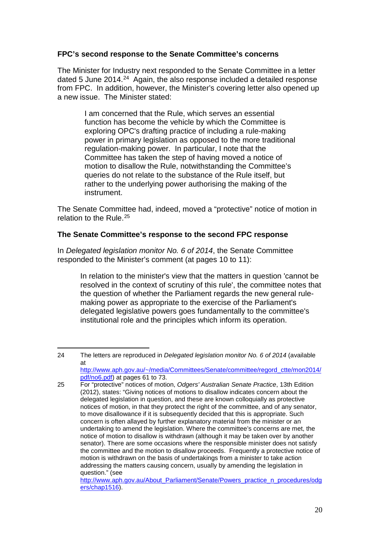# **FPC's second response to the Senate Committee's concerns**

The Minister for Industry next responded to the Senate Committee in a letter dated 5 June 2014.<sup>[24](#page-19-0)</sup> Again, the also response included a detailed response from FPC. In addition, however, the Minister's covering letter also opened up a new issue. The Minister stated:

> I am concerned that the Rule, which serves an essential function has become the vehicle by which the Committee is exploring OPC's drafting practice of including a rule-making power in primary legislation as opposed to the more traditional regulation-making power. In particular, I note that the Committee has taken the step of having moved a notice of motion to disallow the Rule, notwithstanding the Committee's queries do not relate to the substance of the Rule itself, but rather to the underlying power authorising the making of the instrument.

The Senate Committee had, indeed, moved a "protective" notice of motion in relation to the Rule. [25](#page-19-1)

# **The Senate Committee's response to the second FPC response**

In *Delegated legislation monitor No. 6 of 2014*, the Senate Committee responded to the Minister's comment (at pages 10 to 11):

In relation to the minister's view that the matters in question 'cannot be resolved in the context of scrutiny of this rule', the committee notes that the question of whether the Parliament regards the new general rulemaking power as appropriate to the exercise of the Parliament's delegated legislative powers goes fundamentally to the committee's institutional role and the principles which inform its operation.

-

<span id="page-19-0"></span><sup>24</sup> The letters are reproduced in *Delegated legislation monitor No. 6 of 2014* (available at [http://www.aph.gov.au/~/media/Committees/Senate/committee/regord\\_ctte/mon2014/](http://www.aph.gov.au/%7E/media/Committees/Senate/committee/regord_ctte/mon2014/pdf/no6.pdf) [pdf/no6.pdf\)](http://www.aph.gov.au/%7E/media/Committees/Senate/committee/regord_ctte/mon2014/pdf/no6.pdf) at pages 61 to 73.

<span id="page-19-1"></span><sup>25</sup> For "protective" notices of motion, *Odgers' Australian Senate Practice*, 13th Edition (2012), states: "Giving notices of motions to disallow indicates concern about the delegated legislation in question, and these are known colloquially as protective notices of motion, in that they protect the right of the committee, and of any senator, to move disallowance if it is subsequently decided that this is appropriate. Such concern is often allayed by further explanatory material from the minister or an undertaking to amend the legislation. Where the committee's concerns are met, the notice of motion to disallow is withdrawn (although it may be taken over by another senator). There are some occasions where the responsible minister does not satisfy the committee and the motion to disallow proceeds. Frequently a protective notice of motion is withdrawn on the basis of undertakings from a minister to take action addressing the matters causing concern, usually by amending the legislation in question." (see [http://www.aph.gov.au/About\\_Parliament/Senate/Powers\\_practice\\_n\\_procedures/odg](http://www.aph.gov.au/About_Parliament/Senate/Powers_practice_n_procedures/odgers/chap1516) [ers/chap1516\)](http://www.aph.gov.au/About_Parliament/Senate/Powers_practice_n_procedures/odgers/chap1516).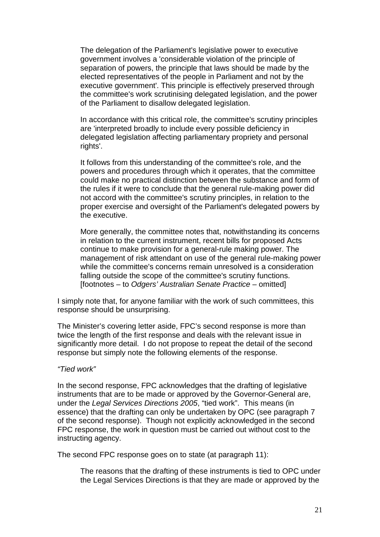The delegation of the Parliament's legislative power to executive government involves a 'considerable violation of the principle of separation of powers, the principle that laws should be made by the elected representatives of the people in Parliament and not by the executive government'. This principle is effectively preserved through the committee's work scrutinising delegated legislation, and the power of the Parliament to disallow delegated legislation.

In accordance with this critical role, the committee's scrutiny principles are 'interpreted broadly to include every possible deficiency in delegated legislation affecting parliamentary propriety and personal rights'.

It follows from this understanding of the committee's role, and the powers and procedures through which it operates, that the committee could make no practical distinction between the substance and form of the rules if it were to conclude that the general rule-making power did not accord with the committee's scrutiny principles, in relation to the proper exercise and oversight of the Parliament's delegated powers by the executive.

More generally, the committee notes that, notwithstanding its concerns in relation to the current instrument, recent bills for proposed Acts continue to make provision for a general-rule making power. The management of risk attendant on use of the general rule-making power while the committee's concerns remain unresolved is a consideration falling outside the scope of the committee's scrutiny functions. [footnotes – to *Odgers' Australian Senate Practice* – omitted]

I simply note that, for anyone familiar with the work of such committees, this response should be unsurprising.

The Minister's covering letter aside, FPC's second response is more than twice the length of the first response and deals with the relevant issue in significantly more detail. I do not propose to repeat the detail of the second response but simply note the following elements of the response.

#### *"Tied work"*

In the second response, FPC acknowledges that the drafting of legislative instruments that are to be made or approved by the Governor-General are, under the *Legal Services Directions 2005*, "tied work". This means (in essence) that the drafting can only be undertaken by OPC (see paragraph 7 of the second response). Though not explicitly acknowledged in the second FPC response, the work in question must be carried out without cost to the instructing agency.

The second FPC response goes on to state (at paragraph 11):

The reasons that the drafting of these instruments is tied to OPC under the Legal Services Directions is that they are made or approved by the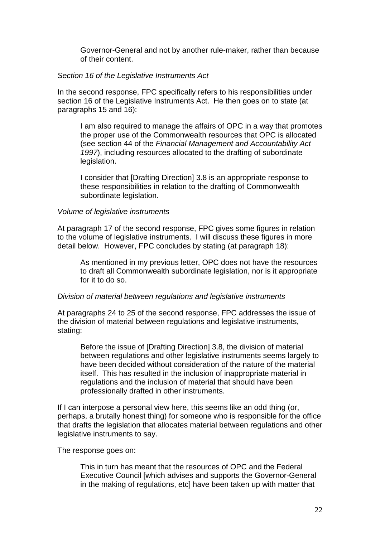Governor-General and not by another rule-maker, rather than because of their content.

### *Section 16 of the Legislative Instruments Act*

In the second response, FPC specifically refers to his responsibilities under section 16 of the Legislative Instruments Act. He then goes on to state (at paragraphs 15 and 16):

I am also required to manage the affairs of OPC in a way that promotes the proper use of the Commonwealth resources that OPC is allocated (see section 44 of the *Financial Management and Accountability Act 1997*), including resources allocated to the drafting of subordinate legislation.

I consider that [Drafting Direction] 3.8 is an appropriate response to these responsibilities in relation to the drafting of Commonwealth subordinate legislation.

#### *Volume of legislative instruments*

At paragraph 17 of the second response, FPC gives some figures in relation to the volume of legislative instruments. I will discuss these figures in more detail below. However, FPC concludes by stating (at paragraph 18):

As mentioned in my previous letter, OPC does not have the resources to draft all Commonwealth subordinate legislation, nor is it appropriate for it to do so.

#### *Division of material between regulations and legislative instruments*

At paragraphs 24 to 25 of the second response, FPC addresses the issue of the division of material between regulations and legislative instruments, stating:

Before the issue of [Drafting Direction] 3.8, the division of material between regulations and other legislative instruments seems largely to have been decided without consideration of the nature of the material itself. This has resulted in the inclusion of inappropriate material in regulations and the inclusion of material that should have been professionally drafted in other instruments.

If I can interpose a personal view here, this seems like an odd thing (or, perhaps, a brutally honest thing) for someone who is responsible for the office that drafts the legislation that allocates material between regulations and other legislative instruments to say.

The response goes on:

This in turn has meant that the resources of OPC and the Federal Executive Council [which advises and supports the Governor-General in the making of regulations, etc] have been taken up with matter that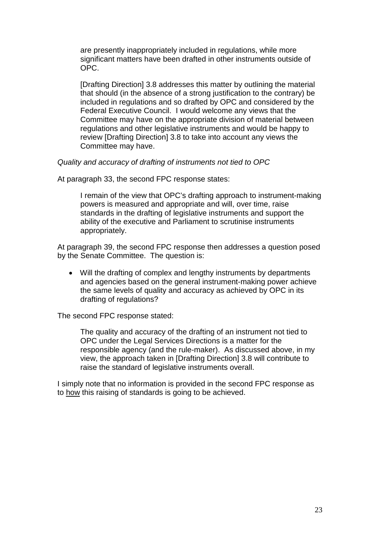are presently inappropriately included in regulations, while more significant matters have been drafted in other instruments outside of OPC.

[Drafting Direction] 3.8 addresses this matter by outlining the material that should (in the absence of a strong justification to the contrary) be included in regulations and so drafted by OPC and considered by the Federal Executive Council. I would welcome any views that the Committee may have on the appropriate division of material between regulations and other legislative instruments and would be happy to review [Drafting Direction] 3.8 to take into account any views the Committee may have.

*Quality and accuracy of drafting of instruments not tied to OPC*

At paragraph 33, the second FPC response states:

I remain of the view that OPC's drafting approach to instrument-making powers is measured and appropriate and will, over time, raise standards in the drafting of legislative instruments and support the ability of the executive and Parliament to scrutinise instruments appropriately.

At paragraph 39, the second FPC response then addresses a question posed by the Senate Committee. The question is:

• Will the drafting of complex and lengthy instruments by departments and agencies based on the general instrument-making power achieve the same levels of quality and accuracy as achieved by OPC in its drafting of regulations?

The second FPC response stated:

The quality and accuracy of the drafting of an instrument not tied to OPC under the Legal Services Directions is a matter for the responsible agency (and the rule-maker). As discussed above, in my view, the approach taken in [Drafting Direction] 3.8 will contribute to raise the standard of legislative instruments overall.

I simply note that no information is provided in the second FPC response as to how this raising of standards is going to be achieved.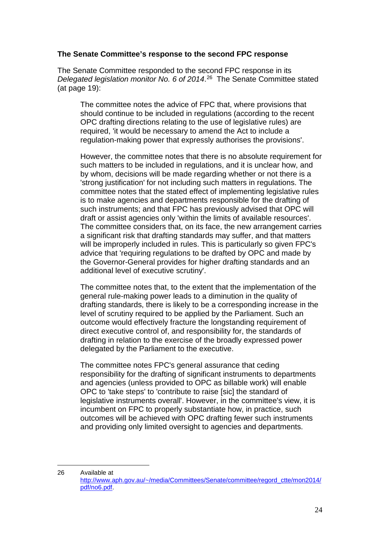### **The Senate Committee's response to the second FPC response**

The Senate Committee responded to the second FPC response in its *Delegated legislation monitor No. 6 of 2014*. [26](#page-23-0) The Senate Committee stated (at page 19):

The committee notes the advice of FPC that, where provisions that should continue to be included in regulations (according to the recent OPC drafting directions relating to the use of legislative rules) are required, 'it would be necessary to amend the Act to include a regulation-making power that expressly authorises the provisions'.

However, the committee notes that there is no absolute requirement for such matters to be included in regulations, and it is unclear how, and by whom, decisions will be made regarding whether or not there is a 'strong justification' for not including such matters in regulations. The committee notes that the stated effect of implementing legislative rules is to make agencies and departments responsible for the drafting of such instruments; and that FPC has previously advised that OPC will draft or assist agencies only 'within the limits of available resources'. The committee considers that, on its face, the new arrangement carries a significant risk that drafting standards may suffer, and that matters will be improperly included in rules. This is particularly so given FPC's advice that 'requiring regulations to be drafted by OPC and made by the Governor-General provides for higher drafting standards and an additional level of executive scrutiny'.

The committee notes that, to the extent that the implementation of the general rule-making power leads to a diminution in the quality of drafting standards, there is likely to be a corresponding increase in the level of scrutiny required to be applied by the Parliament. Such an outcome would effectively fracture the longstanding requirement of direct executive control of, and responsibility for, the standards of drafting in relation to the exercise of the broadly expressed power delegated by the Parliament to the executive.

The committee notes FPC's general assurance that ceding responsibility for the drafting of significant instruments to departments and agencies (unless provided to OPC as billable work) will enable OPC to 'take steps' to 'contribute to raise [sic] the standard of legislative instruments overall'. However, in the committee's view, it is incumbent on FPC to properly substantiate how, in practice, such outcomes will be achieved with OPC drafting fewer such instruments and providing only limited oversight to agencies and departments.

-

<span id="page-23-0"></span><sup>26</sup> Available at [http://www.aph.gov.au/~/media/Committees/Senate/committee/regord\\_ctte/mon2014/](http://www.aph.gov.au/%7E/media/Committees/Senate/committee/regord_ctte/mon2014/pdf/no6.pdf) [pdf/no6.pdf.](http://www.aph.gov.au/%7E/media/Committees/Senate/committee/regord_ctte/mon2014/pdf/no6.pdf)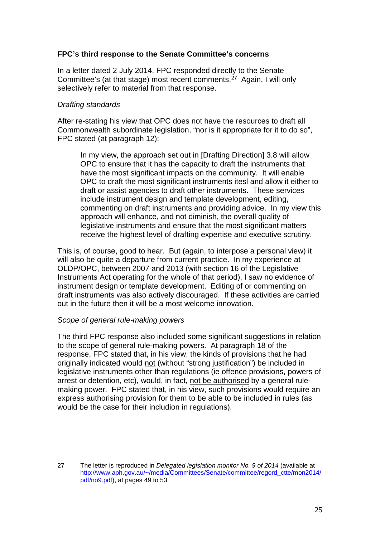# **FPC's third response to the Senate Committee's concerns**

In a letter dated 2 July 2014, FPC responded directly to the Senate Committee's (at that stage) most recent comments.[27](#page-24-0) Again, I will only selectively refer to material from that response.

### *Drafting standards*

After re-stating his view that OPC does not have the resources to draft all Commonwealth subordinate legislation, "nor is it appropriate for it to do so", FPC stated (at paragraph 12):

In my view, the approach set out in [Drafting Direction] 3.8 will allow OPC to ensure that it has the capacity to draft the instruments that have the most significant impacts on the community. It will enable OPC to draft the most significant instruments itesl and allow it either to draft or assist agencies to draft other instruments. These services include instrument design and template development, editing, commenting on draft instruments and providing advice. In my view this approach will enhance, and not diminish, the overall quality of legislative instruments and ensure that the most significant matters receive the highest level of drafting expertise and executive scrutiny.

This is, of course, good to hear. But (again, to interpose a personal view) it will also be quite a departure from current practice. In my experience at OLDP/OPC, between 2007 and 2013 (with section 16 of the Legislative Instruments Act operating for the whole of that period), I saw no evidence of instrument design or template development. Editing of or commenting on draft instruments was also actively discouraged. If these activities are carried out in the future then it will be a most welcome innovation.

# *Scope of general rule-making powers*

The third FPC response also included some significant suggestions in relation to the scope of general rule-making powers. At paragraph 18 of the response, FPC stated that, in his view, the kinds of provisions that he had originally indicated would not (without "strong justification") be included in legislative instruments other than regulations (ie offence provisions, powers of arrest or detention, etc), would, in fact, not be authorised by a general rulemaking power. FPC stated that, in his view, such provisions would require an express authorising provision for them to be able to be included in rules (as would be the case for their includion in regulations).

<span id="page-24-0"></span><sup>27</sup> The letter is reproduced in *Delegated legislation monitor No. 9 of 2014* (available at [http://www.aph.gov.au/~/media/Committees/Senate/committee/regord\\_ctte/mon2014/](http://www.aph.gov.au/%7E/media/Committees/Senate/committee/regord_ctte/mon2014/pdf/no9.pdf) [pdf/no9.pdf\)](http://www.aph.gov.au/%7E/media/Committees/Senate/committee/regord_ctte/mon2014/pdf/no9.pdf), at pages 49 to 53. <u>.</u>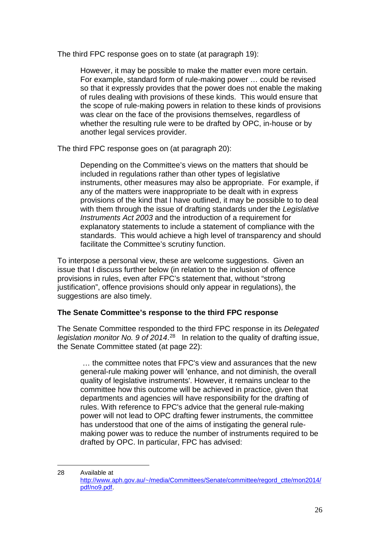The third FPC response goes on to state (at paragraph 19):

However, it may be possible to make the matter even more certain. For example, standard form of rule-making power … could be revised so that it expressly provides that the power does not enable the making of rules dealing with provisions of these kinds. This would ensure that the scope of rule-making powers in relation to these kinds of provisions was clear on the face of the provisions themselves, regardless of whether the resulting rule were to be drafted by OPC, in-house or by another legal services provider.

The third FPC response goes on (at paragraph 20):

Depending on the Committee's views on the matters that should be included in regulations rather than other types of legislative instruments, other measures may also be appropriate. For example, if any of the matters were inappropriate to be dealt with in express provisions of the kind that I have outlined, it may be possible to to deal with them through the issue of drafting standards under the *Legislative Instruments Act 2003* and the introduction of a requirement for explanatory statements to include a statement of compliance with the standards. This would achieve a high level of transparency and should facilitate the Committee's scrutiny function.

To interpose a personal view, these are welcome suggestions. Given an issue that I discuss further below (in relation to the inclusion of offence provisions in rules, even after FPC's statement that, without "strong justification", offence provisions should only appear in regulations), the suggestions are also timely.

# **The Senate Committee's response to the third FPC response**

The Senate Committee responded to the third FPC response in its *Delegated*  legislation monitor No. 9 of 2014.<sup>28</sup> In relation to the quality of drafting issue, the Senate Committee stated (at page 22):

… the committee notes that FPC's view and assurances that the new general-rule making power will 'enhance, and not diminish, the overall quality of legislative instruments'. However, it remains unclear to the committee how this outcome will be achieved in practice, given that departments and agencies will have responsibility for the drafting of rules. With reference to FPC's advice that the general rule-making power will not lead to OPC drafting fewer instruments, the committee has understood that one of the aims of instigating the general rulemaking power was to reduce the number of instruments required to be drafted by OPC. In particular, FPC has advised:

<span id="page-25-0"></span><sup>28</sup> Available at [http://www.aph.gov.au/~/media/Committees/Senate/committee/regord\\_ctte/mon2014/](http://www.aph.gov.au/%7E/media/Committees/Senate/committee/regord_ctte/mon2014/pdf/no9.pdf) [pdf/no9.pdf.](http://www.aph.gov.au/%7E/media/Committees/Senate/committee/regord_ctte/mon2014/pdf/no9.pdf) -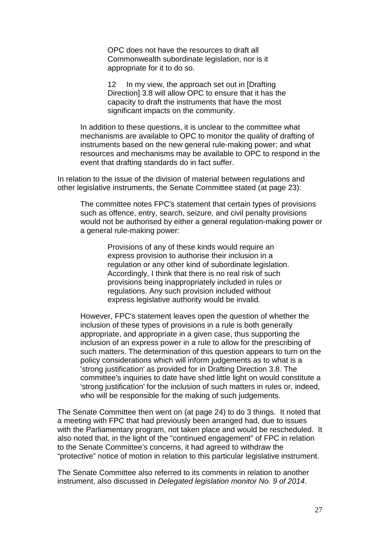OPC does not have the resources to draft all Commonwealth subordinate legislation, nor is it appropriate for it to do so.

12 In my view, the approach set out in [Drafting] Direction] 3.8 will allow OPC to ensure that it has the capacity to draft the instruments that have the most significant impacts on the community.

In addition to these questions, it is unclear to the committee what mechanisms are available to OPC to monitor the quality of drafting of instruments based on the new general rule-making power; and what resources and mechanisms may be available to OPC to respond in the event that drafting standards do in fact suffer.

In relation to the issue of the division of material between regulations and other legislative instruments, the Senate Committee stated (at page 23):

The committee notes FPC's statement that certain types of provisions such as offence, entry, search, seizure, and civil penalty provisions would not be authorised by either a general regulation-making power or a general rule-making power:

> Provisions of any of these kinds would require an express provision to authorise their inclusion in a regulation or any other kind of subordinate legislation. Accordingly, I think that there is no real risk of such provisions being inappropriately included in rules or regulations. Any such provision included without express legislative authority would be invalid.

However, FPC's statement leaves open the question of whether the inclusion of these types of provisions in a rule is both generally appropriate, and appropriate in a given case, thus supporting the inclusion of an express power in a rule to allow for the prescribing of such matters. The determination of this question appears to turn on the policy considerations which will inform judgements as to what is a 'strong justification' as provided for in Drafting Direction 3.8. The committee's inquiries to date have shed little light on would constitute a 'strong justification' for the inclusion of such matters in rules or, indeed, who will be responsible for the making of such judgements.

The Senate Committee then went on (at page 24) to do 3 things. It noted that a meeting with FPC that had previously been arranged had, due to issues with the Parliamentary program, not taken place and would be rescheduled. It also noted that, in the light of the "continued engagement" of FPC in relation to the Senate Committee's concerns, it had agreed to withdraw the "protective" notice of motion in relation to this particular legislative instrument.

The Senate Committee also referred to its comments in relation to another instrument, also discussed in *Delegated legislation monitor No. 9 of 2014*.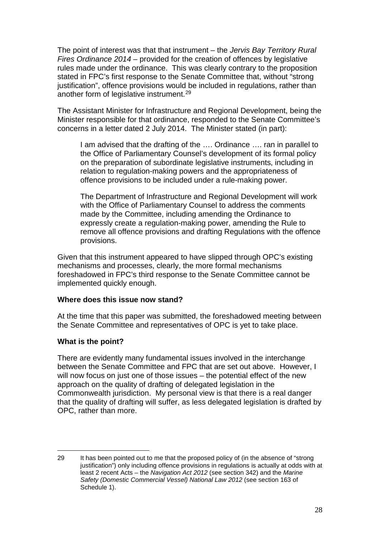The point of interest was that that instrument – the *Jervis Bay Territory Rural Fires Ordinance 2014* – provided for the creation of offences by legislative rules made under the ordinance. This was clearly contrary to the proposition stated in FPC's first response to the Senate Committee that, without "strong justification", offence provisions would be included in regulations, rather than another form of legislative instrument.[29](#page-27-0)

The Assistant Minister for Infrastructure and Regional Development, being the Minister responsible for that ordinance, responded to the Senate Committee's concerns in a letter dated 2 July 2014. The Minister stated (in part):

I am advised that the drafting of the …. Ordinance …. ran in parallel to the Office of Parliamentary Counsel's development of its formal policy on the preparation of subordinate legislative instruments, including in relation to regulation-making powers and the appropriateness of offence provisions to be included under a rule-making power.

The Department of Infrastructure and Regional Development will work with the Office of Parliamentary Counsel to address the comments made by the Committee, including amending the Ordinance to expressly create a regulation-making power, amending the Rule to remove all offence provisions and drafting Regulations with the offence provisions.

Given that this instrument appeared to have slipped through OPC's existing mechanisms and processes, clearly, the more formal mechanisms foreshadowed in FPC's third response to the Senate Committee cannot be implemented quickly enough.

# **Where does this issue now stand?**

At the time that this paper was submitted, the foreshadowed meeting between the Senate Committee and representatives of OPC is yet to take place.

# **What is the point?**

<u>.</u>

There are evidently many fundamental issues involved in the interchange between the Senate Committee and FPC that are set out above. However, I will now focus on just one of those issues – the potential effect of the new approach on the quality of drafting of delegated legislation in the Commonwealth jurisdiction. My personal view is that there is a real danger that the quality of drafting will suffer, as less delegated legislation is drafted by OPC, rather than more.

<span id="page-27-0"></span><sup>29</sup> It has been pointed out to me that the proposed policy of (in the absence of "strong justification") only including offence provisions in regulations is actually at odds with at least 2 recent Acts – the *Navigation Act 2012* (see section 342) and the *Marine Safety (Domestic Commercial Vessel) National Law 2012* (see section 163 of Schedule 1).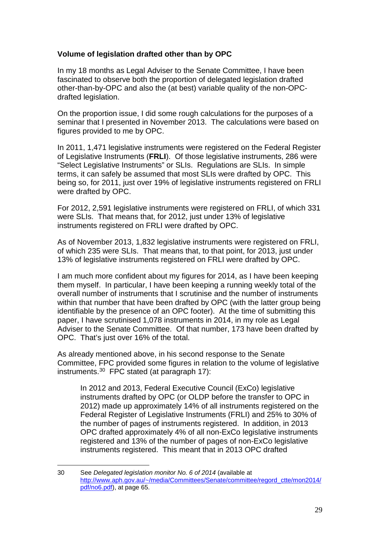# **Volume of legislation drafted other than by OPC**

In my 18 months as Legal Adviser to the Senate Committee, I have been fascinated to observe both the proportion of delegated legislation drafted other-than-by-OPC and also the (at best) variable quality of the non-OPCdrafted legislation.

On the proportion issue, I did some rough calculations for the purposes of a seminar that I presented in November 2013. The calculations were based on figures provided to me by OPC.

In 2011, 1,471 legislative instruments were registered on the Federal Register of Legislative Instruments (**FRLI**). Of those legislative instruments, 286 were "Select Legislative Instruments" or SLIs. Regulations are SLIs. In simple terms, it can safely be assumed that most SLIs were drafted by OPC. This being so, for 2011, just over 19% of legislative instruments registered on FRLI were drafted by OPC.

For 2012, 2,591 legislative instruments were registered on FRLI, of which 331 were SLIs. That means that, for 2012, just under 13% of legislative instruments registered on FRLI were drafted by OPC.

As of November 2013, 1,832 legislative instruments were registered on FRLI, of which 235 were SLIs. That means that, to that point, for 2013, just under 13% of legislative instruments registered on FRLI were drafted by OPC.

I am much more confident about my figures for 2014, as I have been keeping them myself. In particular, I have been keeping a running weekly total of the overall number of instruments that I scrutinise and the number of instruments within that number that have been drafted by OPC (with the latter group being identifiable by the presence of an OPC footer). At the time of submitting this paper, I have scrutinised 1,078 instruments in 2014, in my role as Legal Adviser to the Senate Committee. Of that number, 173 have been drafted by OPC. That's just over 16% of the total.

As already mentioned above, in his second response to the Senate Committee, FPC provided some figures in relation to the volume of legislative instruments. [30](#page-28-0) FPC stated (at paragraph 17):

In 2012 and 2013, Federal Executive Council (ExCo) legislative instruments drafted by OPC (or OLDP before the transfer to OPC in 2012) made up approximately 14% of all instruments registered on the Federal Register of Legislative Instruments (FRLI) and 25% to 30% of the number of pages of instruments registered. In addition, in 2013 OPC drafted approximately 4% of all non-ExCo legislative instruments registered and 13% of the number of pages of non-ExCo legislative instruments registered. This meant that in 2013 OPC drafted

<span id="page-28-0"></span><sup>30</sup> See *Delegated legislation monitor No. 6 of 2014* (available at [http://www.aph.gov.au/~/media/Committees/Senate/committee/regord\\_ctte/mon2014/](http://www.aph.gov.au/%7E/media/Committees/Senate/committee/regord_ctte/mon2014/pdf/no6.pdf) [pdf/no6.pdf\)](http://www.aph.gov.au/%7E/media/Committees/Senate/committee/regord_ctte/mon2014/pdf/no6.pdf), at page 65. -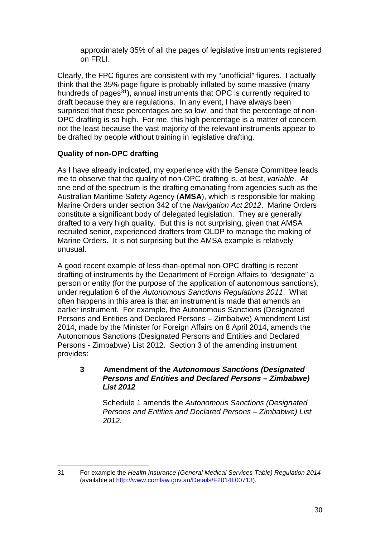approximately 35% of all the pages of legislative instruments registered on FRLI.

Clearly, the FPC figures are consistent with my "unofficial" figures. I actually think that the 35% page figure is probably inflated by some massive (many hundreds of pages<sup>31</sup>), annual instruments that OPC is currently required to draft because they are regulations. In any event, I have always been surprised that these percentages are so low, and that the percentage of non-OPC drafting is so high. For me, this high percentage is a matter of concern, not the least because the vast majority of the relevant instruments appear to be drafted by people without training in legislative drafting.

# **Quality of non-OPC drafting**

As I have already indicated, my experience with the Senate Committee leads me to observe that the quality of non-OPC drafting is, at best, *variable*. At one end of the spectrum is the drafting emanating from agencies such as the Australian Maritime Safety Agency (**AMSA**), which is responsible for making Marine Orders under section 342 of the *Navigation Act 2012*. Marine Orders constitute a significant body of delegated legislation. They are generally drafted to a very high quality. But this is not surprising, given that AMSA recruited senior, experienced drafters from OLDP to manage the making of Marine Orders. It is not surprising but the AMSA example is relatively unusual.

A good recent example of less-than-optimal non-OPC drafting is recent drafting of instruments by the Department of Foreign Affairs to "designate" a person or entity (for the purpose of the application of autonomous sanctions), under regulation 6 of the *Autonomous Sanctions Regulations 2011*. What often happens in this area is that an instrument is made that amends an earlier instrument. For example, the Autonomous Sanctions (Designated Persons and Entities and Declared Persons – Zimbabwe) Amendment List 2014, made by the Minister for Foreign Affairs on 8 April 2014, amends the Autonomous Sanctions (Designated Persons and Entities and Declared Persons - Zimbabwe) List 2012. Section 3 of the amending instrument provides:

# **3 Amendment of the** *Autonomous Sanctions (Designated Persons and Entities and Declared Persons – Zimbabwe) List 2012*

Schedule 1 amends the *Autonomous Sanctions (Designated Persons and Entities and Declared Persons – Zimbabwe) List 2012*.

<span id="page-29-0"></span><sup>31</sup> For example the *Health Insurance (General Medical Services Table) Regulation 2014* (available at [http://www.comlaw.gov.au/Details/F2014L00713\)](http://www.comlaw.gov.au/Details/F2014L00713). -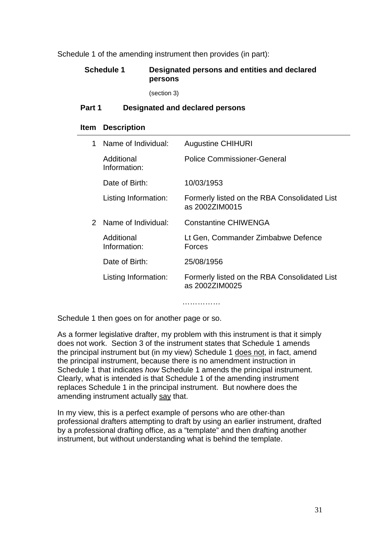Schedule 1 of the amending instrument then provides (in part):

# **Schedule 1 Designated persons and entities and declared persons**

(section 3)

#### **Part 1 Designated and declared persons**

#### **Item Description**

| 1             | Name of Individual:        | <b>Augustine CHIHURI</b>                                       |
|---------------|----------------------------|----------------------------------------------------------------|
|               | Additional<br>Information: | <b>Police Commissioner-General</b>                             |
|               | Date of Birth:             | 10/03/1953                                                     |
|               | Listing Information:       | Formerly listed on the RBA Consolidated List<br>as 2002ZIM0015 |
| $\mathcal{P}$ | Name of Individual:        | <b>Constantine CHIWENGA</b>                                    |
|               | Additional<br>Information: | Lt Gen, Commander Zimbabwe Defence<br>Forces                   |
|               | Date of Birth:             | 25/08/1956                                                     |
|               | Listing Information:       | Formerly listed on the RBA Consolidated List<br>as 20027IM0025 |

Schedule 1 then goes on for another page or so.

As a former legislative drafter, my problem with this instrument is that it simply does not work. Section 3 of the instrument states that Schedule 1 amends the principal instrument but (in my view) Schedule 1 does not, in fact, amend the principal instrument, because there is no amendment instruction in Schedule 1 that indicates *how* Schedule 1 amends the principal instrument. Clearly, what is intended is that Schedule 1 of the amending instrument replaces Schedule 1 in the principal instrument. But nowhere does the amending instrument actually say that.

…………………

In my view, this is a perfect example of persons who are other-than professional drafters attempting to draft by using an earlier instrument, drafted by a professional drafting office, as a "template" and then drafting another instrument, but without understanding what is behind the template.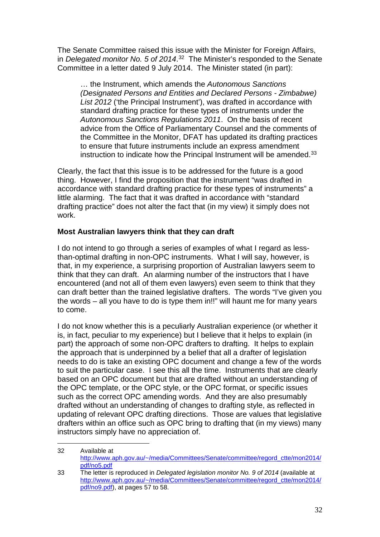The Senate Committee raised this issue with the Minister for Foreign Affairs, in *Delegated monitor No. 5 of 2014*. [32](#page-31-0) The Minister's responded to the Senate Committee in a letter dated 9 July 2014. The Minister stated (in part):

… the Instrument, which amends the *Autonomous Sanctions (Designated Persons and Entities and Declared Persons - Zimbabwe) List 2012* ('the Principal Instrument'), was drafted in accordance with standard drafting practice for these types of instruments under the *Autonomous Sanctions Regulations 2011*. On the basis of recent advice from the Office of Parliamentary Counsel and the comments of the Committee in the Monitor, DFAT has updated its drafting practices to ensure that future instruments include an express amendment instruction to indicate how the Principal Instrument will be amended.<sup>33</sup>

Clearly, the fact that this issue is to be addressed for the future is a good thing. However, I find the proposition that the instrument "was drafted in accordance with standard drafting practice for these types of instruments" a little alarming. The fact that it was drafted in accordance with "standard drafting practice" does not alter the fact that (in my view) it simply does not work.

# **Most Australian lawyers think that they can draft**

-

I do not intend to go through a series of examples of what I regard as lessthan-optimal drafting in non-OPC instruments. What I will say, however, is that, in my experience, a surprising proportion of Australian lawyers seem to think that they can draft. An alarming number of the instructors that I have encountered (and not all of them even lawyers) even seem to think that they can draft better than the trained legislative drafters. The words "I've given you the words – all you have to do is type them in!!" will haunt me for many years to come.

I do not know whether this is a peculiarly Australian experience (or whether it is, in fact, peculiar to my experience) but I believe that it helps to explain (in part) the approach of some non-OPC drafters to drafting. It helps to explain the approach that is underpinned by a belief that all a drafter of legislation needs to do is take an existing OPC document and change a few of the words to suit the particular case. I see this all the time. Instruments that are clearly based on an OPC document but that are drafted without an understanding of the OPC template, or the OPC style, or the OPC format, or specific issues such as the correct OPC amending words. And they are also presumably drafted without an understanding of changes to drafting style, as reflected in updating of relevant OPC drafting directions. Those are values that legislative drafters within an office such as OPC bring to drafting that (in my views) many instructors simply have no appreciation of.

<span id="page-31-0"></span><sup>32</sup> Available at [http://www.aph.gov.au/~/media/Committees/Senate/committee/regord\\_ctte/mon2014/](http://www.aph.gov.au/%7E/media/Committees/Senate/committee/regord_ctte/mon2014/pdf/no5.pdf) [pdf/no5.pdf](http://www.aph.gov.au/%7E/media/Committees/Senate/committee/regord_ctte/mon2014/pdf/no5.pdf)

<span id="page-31-1"></span><sup>33</sup> The letter is reproduced in *Delegated legislation monitor No. 9 of 2014* (available at [http://www.aph.gov.au/~/media/Committees/Senate/committee/regord\\_ctte/mon2014/](http://www.aph.gov.au/%7E/media/Committees/Senate/committee/regord_ctte/mon2014/pdf/no9.pdf) [pdf/no9.pdf\)](http://www.aph.gov.au/%7E/media/Committees/Senate/committee/regord_ctte/mon2014/pdf/no9.pdf), at pages 57 to 58.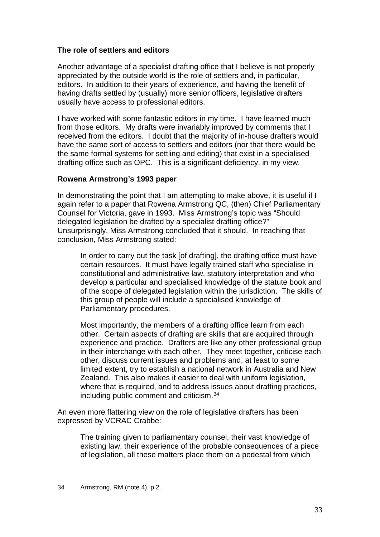# **The role of settlers and editors**

Another advantage of a specialist drafting office that I believe is not properly appreciated by the outside world is the role of settlers and, in particular, editors. In addition to their years of experience, and having the benefit of having drafts settled by (usually) more senior officers, legislative drafters usually have access to professional editors.

I have worked with some fantastic editors in my time. I have learned much from those editors. My drafts were invariably improved by comments that I received from the editors. I doubt that the majority of in-house drafters would have the same sort of access to settlers and editors (nor that there would be the same formal systems for settling and editing) that exist in a specialised drafting office such as OPC. This is a significant deficiency, in my view.

# **Rowena Armstrong's 1993 paper**

In demonstrating the point that I am attempting to make above, it is useful if I again refer to a paper that Rowena Armstrong QC, (then) Chief Parliamentary Counsel for Victoria, gave in 1993. Miss Armstrong's topic was "Should delegated legislation be drafted by a specialist drafting office?" Unsurprisingly, Miss Armstrong concluded that it should. In reaching that conclusion, Miss Armstrong stated:

In order to carry out the task [of drafting], the drafting office must have certain resources. It must have legally trained staff who specialise in constitutional and administrative law, statutory interpretation and who develop a particular and specialised knowledge of the statute book and of the scope of delegated legislation within the jurisdiction. The skills of this group of people will include a specialised knowledge of Parliamentary procedures.

Most importantly, the members of a drafting office learn from each other. Certain aspects of drafting are skills that are acquired through experience and practice. Drafters are like any other professional group in their interchange with each other. They meet together, criticise each other, discuss current issues and problems and, at least to some limited extent, try to establish a national network in Australia and New Zealand. This also makes it easier to deal with uniform legislation, where that is required, and to address issues about drafting practices, including public comment and criticism.[34](#page-32-0)

An even more flattering view on the role of legislative drafters has been expressed by VCRAC Crabbe:

The training given to parliamentary counsel, their vast knowledge of existing law, their experience of the probable consequences of a piece of legislation, all these matters place them on a pedestal from which

<span id="page-32-0"></span><sup>34</sup> Armstrong, RM (note 4), p 2. <u>.</u>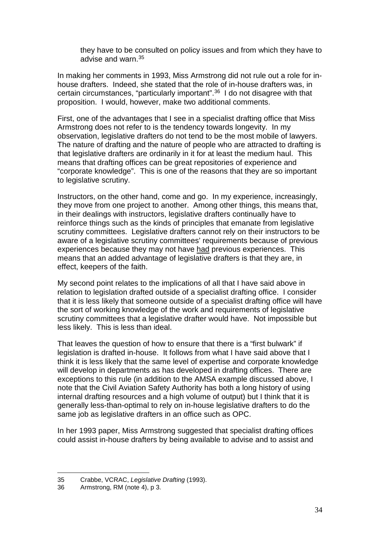they have to be consulted on policy issues and from which they have to advise and warn.[35](#page-33-0)

In making her comments in 1993, Miss Armstrong did not rule out a role for inhouse drafters. Indeed, she stated that the role of in-house drafters was, in certain circumstances, "particularly important".[36](#page-33-1) I do not disagree with that proposition. I would, however, make two additional comments.

First, one of the advantages that I see in a specialist drafting office that Miss Armstrong does not refer to is the tendency towards longevity. In my observation, legislative drafters do not tend to be the most mobile of lawyers. The nature of drafting and the nature of people who are attracted to drafting is that legislative drafters are ordinarily in it for at least the medium haul. This means that drafting offices can be great repositories of experience and "corporate knowledge". This is one of the reasons that they are so important to legislative scrutiny.

Instructors, on the other hand, come and go. In my experience, increasingly, they move from one project to another. Among other things, this means that, in their dealings with instructors, legislative drafters continually have to reinforce things such as the kinds of principles that emanate from legislative scrutiny committees. Legislative drafters cannot rely on their instructors to be aware of a legislative scrutiny committees' requirements because of previous experiences because they may not have had previous experiences. This means that an added advantage of legislative drafters is that they are, in effect, keepers of the faith.

My second point relates to the implications of all that I have said above in relation to legislation drafted outside of a specialist drafting office. I consider that it is less likely that someone outside of a specialist drafting office will have the sort of working knowledge of the work and requirements of legislative scrutiny committees that a legislative drafter would have. Not impossible but less likely. This is less than ideal.

That leaves the question of how to ensure that there is a "first bulwark" if legislation is drafted in-house. It follows from what I have said above that I think it is less likely that the same level of expertise and corporate knowledge will develop in departments as has developed in drafting offices. There are exceptions to this rule (in addition to the AMSA example discussed above, I note that the Civil Aviation Safety Authority has both a long history of using internal drafting resources and a high volume of output) but I think that it is generally less-than-optimal to rely on in-house legislative drafters to do the same job as legislative drafters in an office such as OPC.

In her 1993 paper, Miss Armstrong suggested that specialist drafting offices could assist in-house drafters by being available to advise and to assist and

<sup>35</sup> Crabbe, VCRAC, *Legislative Drafting* (1993). <u>.</u>

<span id="page-33-1"></span><span id="page-33-0"></span><sup>36</sup> Armstrong, RM (note 4), p 3.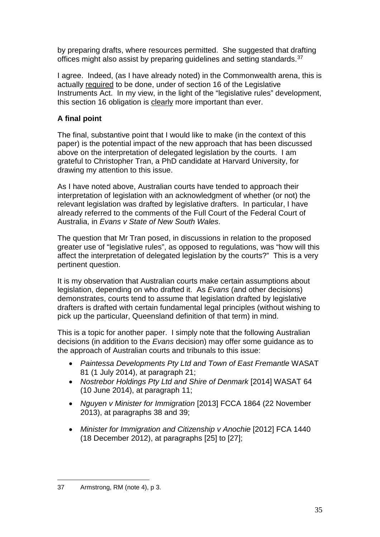by preparing drafts, where resources permitted. She suggested that drafting offices might also assist by preparing guidelines and setting standards.<sup>[37](#page-34-0)</sup>

I agree. Indeed, (as I have already noted) in the Commonwealth arena, this is actually required to be done, under of section 16 of the Legislative Instruments Act. In my view, in the light of the "legislative rules" development, this section 16 obligation is clearly more important than ever.

# **A final point**

The final, substantive point that I would like to make (in the context of this paper) is the potential impact of the new approach that has been discussed above on the interpretation of delegated legislation by the courts. I am grateful to Christopher Tran, a PhD candidate at Harvard University, for drawing my attention to this issue.

As I have noted above, Australian courts have tended to approach their interpretation of legislation with an acknowledgment of whether (or not) the relevant legislation was drafted by legislative drafters. In particular, I have already referred to the comments of the Full Court of the Federal Court of Australia, in *Evans v State of New South Wales*.

The question that Mr Tran posed, in discussions in relation to the proposed greater use of "legislative rules", as opposed to regulations, was "how will this affect the interpretation of delegated legislation by the courts?" This is a very pertinent question.

It is my observation that Australian courts make certain assumptions about legislation, depending on who drafted it. As *Evans* (and other decisions) demonstrates, courts tend to assume that legislation drafted by legislative drafters is drafted with certain fundamental legal principles (without wishing to pick up the particular, Queensland definition of that term) in mind.

This is a topic for another paper. I simply note that the following Australian decisions (in addition to the *Evans* decision) may offer some guidance as to the approach of Australian courts and tribunals to this issue:

- *Paintessa Developments Pty Ltd and Town of East Fremantle* WASAT 81 (1 July 2014), at paragraph 21;
- *Nostrebor Holdings Pty Ltd and Shire of Denmark* [2014] WASAT 64 (10 June 2014), at paragraph 11;
- *Nguyen v Minister for Immigration* [2013] FCCA 1864 (22 November 2013), at paragraphs 38 and 39;
- *Minister for Immigration and Citizenship v Anochie* [2012] FCA 1440 (18 December 2012), at paragraphs [25] to [27];

<span id="page-34-0"></span><sup>37</sup> Armstrong, RM (note 4), p 3. <u>.</u>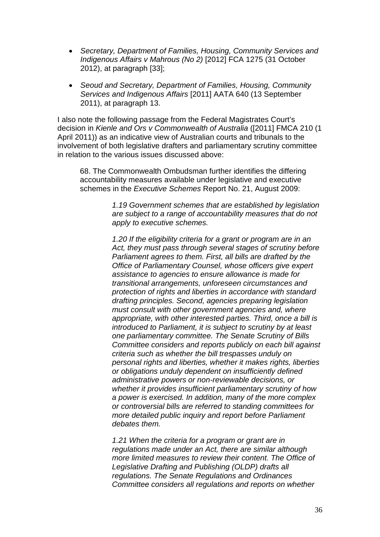- *Secretary, Department of Families, Housing, Community Services and Indigenous Affairs v Mahrous (No 2)* [2012] FCA 1275 (31 October 2012), at paragraph [33];
- *Seoud and Secretary, Department of Families, Housing, Community Services and Indigenous Affairs* [2011] AATA 640 (13 September 2011), at paragraph 13.

I also note the following passage from the Federal Magistrates Court's decision in *Kienle and Ors v Commonwealth of Australia* ([2011] FMCA 210 (1 April 2011)) as an indicative view of Australian courts and tribunals to the involvement of both legislative drafters and parliamentary scrutiny committee in relation to the various issues discussed above:

68. The Commonwealth Ombudsman further identifies the differing accountability measures available under legislative and executive schemes in the *Executive Schemes* Report No. 21, August 2009:

> *1.19 Government schemes that are established by legislation are subject to a range of accountability measures that do not apply to executive schemes.*

> *1.20 If the eligibility criteria for a grant or program are in an Act, they must pass through several stages of scrutiny before Parliament agrees to them. First, all bills are drafted by the Office of Parliamentary Counsel, whose officers give expert assistance to agencies to ensure allowance is made for transitional arrangements, unforeseen circumstances and protection of rights and liberties in accordance with standard drafting principles. Second, agencies preparing legislation must consult with other government agencies and, where appropriate, with other interested parties. Third, once a bill is introduced to Parliament, it is subject to scrutiny by at least one parliamentary committee. The Senate Scrutiny of Bills Committee considers and reports publicly on each bill against criteria such as whether the bill trespasses unduly on personal rights and liberties, whether it makes rights, liberties or obligations unduly dependent on insufficiently defined administrative powers or non-reviewable decisions, or whether it provides insufficient parliamentary scrutiny of how a power is exercised. In addition, many of the more complex or controversial bills are referred to standing committees for more detailed public inquiry and report before Parliament debates them.*

*1.21 When the criteria for a program or grant are in regulations made under an Act, there are similar although more limited measures to review their content. The Office of Legislative Drafting and Publishing (OLDP) drafts all regulations. The Senate Regulations and Ordinances Committee considers all regulations and reports on whether*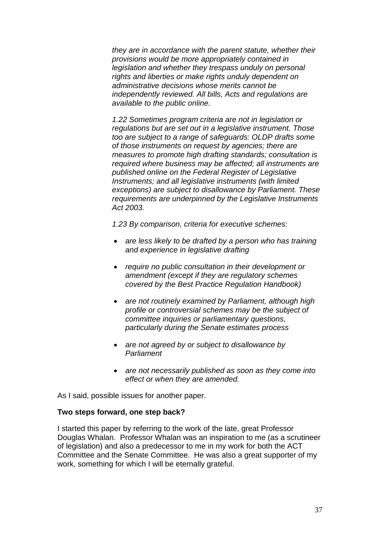*they are in accordance with the parent statute, whether their provisions would be more appropriately contained in legislation and whether they trespass unduly on personal rights and liberties or make rights unduly dependent on administrative decisions whose merits cannot be independently reviewed. All bills, Acts and regulations are available to the public online.* 

*1.22 Sometimes program criteria are not in legislation or regulations but are set out in a legislative instrument. Those too are subject to a range of safeguards: OLDP drafts some of those instruments on request by agencies; there are measures to promote high drafting standards; consultation is required where business may be affected; all instruments are published online on the Federal Register of Legislative Instruments; and all legislative instruments (with limited exceptions) are subject to disallowance by Parliament. These requirements are underpinned by the [Legislative Instruments](http://www.austlii.edu.au/au/legis/cth/consol_act/lia2003292/)  [Act 2003.](http://www.austlii.edu.au/au/legis/cth/consol_act/lia2003292/)* 

*1.23 By comparison, criteria for executive schemes:* 

- *are less likely to be drafted by a person who has training and experience in legislative drafting*
- *require no public consultation in their development or amendment (except if they are regulatory schemes covered by the Best Practice Regulation Handbook)*
- *are not routinely examined by Parliament, although high profile or controversial schemes may be the subject of committee inquiries or parliamentary questions, particularly during the Senate estimates process*
- *are not agreed by or subject to disallowance by Parliament*
- *are not necessarily published as soon as they come into effect or when they are amended.*

As I said, possible issues for another paper.

# **Two steps forward, one step back?**

I started this paper by referring to the work of the late, great Professor Douglas Whalan. Professor Whalan was an inspiration to me (as a scrutineer of legislation) and also a predecessor to me in my work for both the ACT Committee and the Senate Committee. He was also a great supporter of my work, something for which I will be eternally grateful.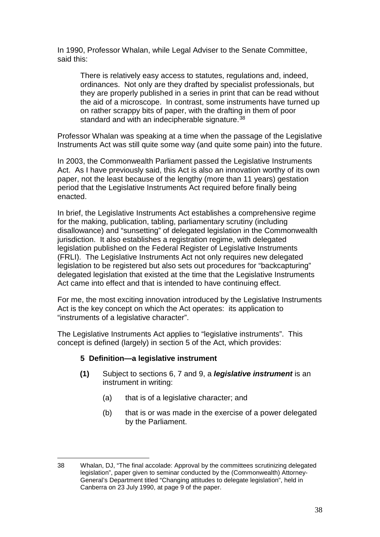In 1990, Professor Whalan, while Legal Adviser to the Senate Committee, said this:

There is relatively easy access to statutes, regulations and, indeed, ordinances. Not only are they drafted by specialist professionals, but they are properly published in a series in print that can be read without the aid of a microscope. In contrast, some instruments have turned up on rather scrappy bits of paper, with the drafting in them of poor standard and with an indecipherable signature.<sup>[38](#page-37-0)</sup>

Professor Whalan was speaking at a time when the passage of the Legislative Instruments Act was still quite some way (and quite some pain) into the future.

In 2003, the Commonwealth Parliament passed the Legislative Instruments Act. As I have previously said, this Act is also an innovation worthy of its own paper, not the least because of the lengthy (more than 11 years) gestation period that the Legislative Instruments Act required before finally being enacted.

In brief, the Legislative Instruments Act establishes a comprehensive regime for the making, publication, tabling, parliamentary scrutiny (including disallowance) and "sunsetting" of delegated legislation in the Commonwealth jurisdiction. It also establishes a registration regime, with delegated legislation published on the Federal Register of Legislative Instruments (FRLI). The Legislative Instruments Act not only requires new delegated legislation to be registered but also sets out procedures for "backcapturing" delegated legislation that existed at the time that the Legislative Instruments Act came into effect and that is intended to have continuing effect.

For me, the most exciting innovation introduced by the Legislative Instruments Act is the key concept on which the Act operates: its application to "instruments of a legislative character".

The Legislative Instruments Act applies to "legislative instruments". This concept is defined (largely) in section 5 of the Act, which provides:

# **5 Definition—a legislative instrument**

- **(1)** Subject to sections 6, 7 and 9, a *legislative instrument* is an instrument in writing:
	- (a) that is of a legislative character; and
	- (b) that is or was made in the exercise of a power delegated by the Parliament.

<span id="page-37-0"></span><sup>38</sup> Whalan, DJ, "The final accolade: Approval by the committees scrutinizing delegated legislation", paper given to seminar conducted by the (Commonwealth) Attorney-General's Department titled "Changing attitudes to delegate legislation", held in Canberra on 23 July 1990, at page 9 of the paper. <u>.</u>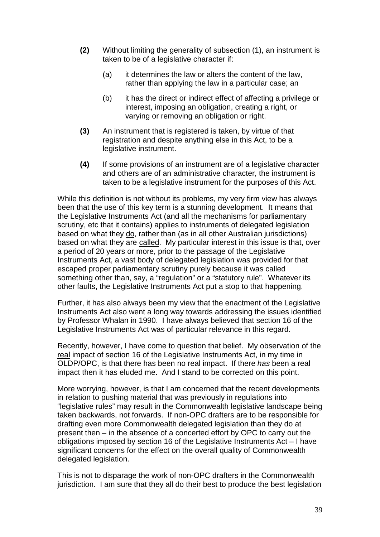- **(2)** Without limiting the generality of subsection (1), an instrument is taken to be of a legislative character if:
	- (a) it determines the law or alters the content of the law, rather than applying the law in a particular case; an
	- (b) it has the direct or indirect effect of affecting a privilege or interest, imposing an obligation, creating a right, or varying or removing an obligation or right.
- **(3)** An instrument that is registered is taken, by virtue of that registration and despite anything else in this Act, to be a legislative instrument.
- **(4)** If some provisions of an instrument are of a legislative character and others are of an administrative character, the instrument is taken to be a legislative instrument for the purposes of this Act.

While this definition is not without its problems, my very firm view has always been that the use of this key term is a stunning development. It means that the Legislative Instruments Act (and all the mechanisms for parliamentary scrutiny, etc that it contains) applies to instruments of delegated legislation based on what they do, rather than (as in all other Australian jurisdictions) based on what they are called. My particular interest in this issue is that, over a period of 20 years or more, prior to the passage of the Legislative Instruments Act, a vast body of delegated legislation was provided for that escaped proper parliamentary scrutiny purely because it was called something other than, say, a "regulation" or a "statutory rule". Whatever its other faults, the Legislative Instruments Act put a stop to that happening.

Further, it has also always been my view that the enactment of the Legislative Instruments Act also went a long way towards addressing the issues identified by Professor Whalan in 1990. I have always believed that section 16 of the Legislative Instruments Act was of particular relevance in this regard.

Recently, however, I have come to question that belief. My observation of the real impact of section 16 of the Legislative Instruments Act, in my time in OLDP/OPC, is that there has been no real impact. If there *has* been a real impact then it has eluded me. And I stand to be corrected on this point.

More worrying, however, is that I am concerned that the recent developments in relation to pushing material that was previously in regulations into "legislative rules" may result in the Commonwealth legislative landscape being taken backwards, not forwards. If non-OPC drafters are to be responsible for drafting even more Commonwealth delegated legislation than they do at present then – in the absence of a concerted effort by OPC to carry out the obligations imposed by section 16 of the Legislative Instruments Act – I have significant concerns for the effect on the overall quality of Commonwealth delegated legislation.

This is not to disparage the work of non-OPC drafters in the Commonwealth jurisdiction. I am sure that they all do their best to produce the best legislation